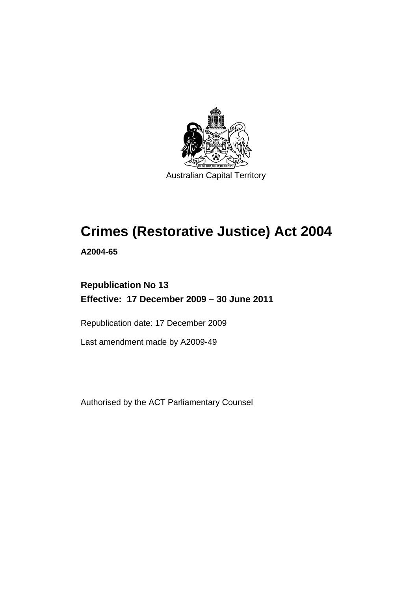

# **Crimes (Restorative Justice) Act 2004**

**A2004-65** 

# **Republication No 13 Effective: 17 December 2009 – 30 June 2011**

Republication date: 17 December 2009

Last amendment made by A2009-49

Authorised by the ACT Parliamentary Counsel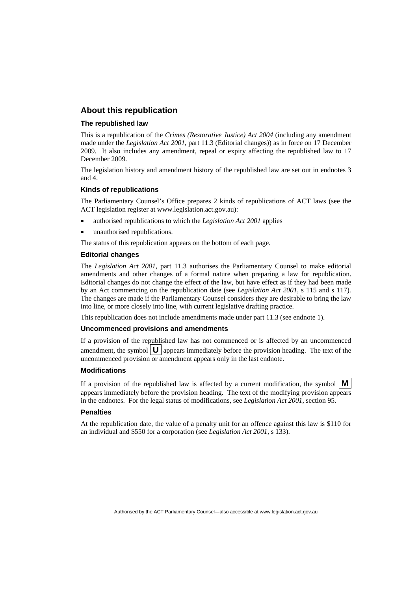## **About this republication**

#### **The republished law**

This is a republication of the *Crimes (Restorative Justice) Act 2004* (including any amendment made under the *Legislation Act 2001*, part 11.3 (Editorial changes)) as in force on 17 December 2009*.* It also includes any amendment, repeal or expiry affecting the republished law to 17 December 2009.

The legislation history and amendment history of the republished law are set out in endnotes 3 and 4.

#### **Kinds of republications**

The Parliamentary Counsel's Office prepares 2 kinds of republications of ACT laws (see the ACT legislation register at www.legislation.act.gov.au):

- authorised republications to which the *Legislation Act 2001* applies
- unauthorised republications.

The status of this republication appears on the bottom of each page.

#### **Editorial changes**

The *Legislation Act 2001*, part 11.3 authorises the Parliamentary Counsel to make editorial amendments and other changes of a formal nature when preparing a law for republication. Editorial changes do not change the effect of the law, but have effect as if they had been made by an Act commencing on the republication date (see *Legislation Act 2001*, s 115 and s 117). The changes are made if the Parliamentary Counsel considers they are desirable to bring the law into line, or more closely into line, with current legislative drafting practice.

This republication does not include amendments made under part 11.3 (see endnote 1).

#### **Uncommenced provisions and amendments**

If a provision of the republished law has not commenced or is affected by an uncommenced amendment, the symbol  $\mathbf{U}$  appears immediately before the provision heading. The text of the uncommenced provision  $\overline{or}$  amendment appears only in the last endnote.

#### **Modifications**

If a provision of the republished law is affected by a current modification, the symbol  $\mathbf{M}$ appears immediately before the provision heading. The text of the modifying provision appears in the endnotes. For the legal status of modifications, see *Legislation Act 2001*, section 95.

#### **Penalties**

At the republication date, the value of a penalty unit for an offence against this law is \$110 for an individual and \$550 for a corporation (see *Legislation Act 2001*, s 133).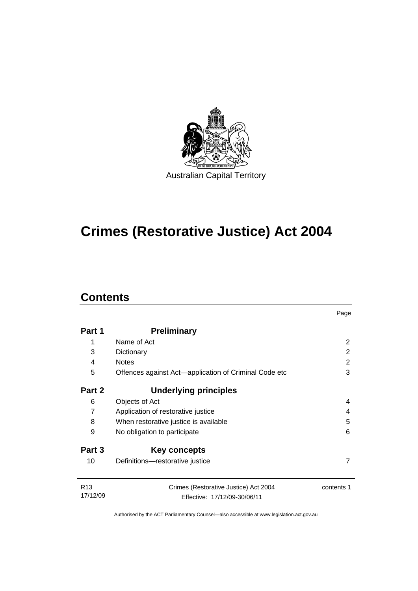

# **Crimes (Restorative Justice) Act 2004**

# **Contents**

| Part 1                      | <b>Preliminary</b>                                                    |            |  |
|-----------------------------|-----------------------------------------------------------------------|------------|--|
| 1                           | Name of Act                                                           | 2          |  |
| 3                           | Dictionary                                                            | 2          |  |
| 4                           | <b>Notes</b>                                                          | 2          |  |
| 5                           | Offences against Act—application of Criminal Code etc                 | 3          |  |
| Part 2                      | <b>Underlying principles</b>                                          |            |  |
| 6                           | Objects of Act                                                        | 4          |  |
| $\overline{7}$              | Application of restorative justice                                    | 4          |  |
| 8                           | When restorative justice is available                                 | 5          |  |
| 9                           | No obligation to participate<br>6                                     |            |  |
| Part 3                      | Key concepts                                                          |            |  |
| 10                          | Definitions-restorative justice                                       |            |  |
| R <sub>13</sub><br>17/12/09 | Crimes (Restorative Justice) Act 2004<br>Effective: 17/12/09-30/06/11 | contents 1 |  |

Page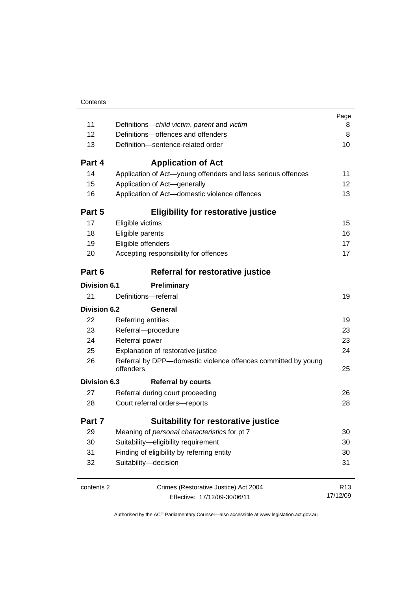|                     |                                                                            | Page            |  |
|---------------------|----------------------------------------------------------------------------|-----------------|--|
| 11                  | Definitions-child victim, parent and victim                                | 8<br>8          |  |
| 12                  | Definitions-offences and offenders                                         |                 |  |
| 13                  | Definition-sentence-related order                                          |                 |  |
| Part 4              | <b>Application of Act</b>                                                  |                 |  |
| 14                  | Application of Act-young offenders and less serious offences               | 11              |  |
| 15                  | Application of Act-generally                                               | 12              |  |
| 16                  | Application of Act-domestic violence offences                              | 13              |  |
| Part 5              | <b>Eligibility for restorative justice</b>                                 |                 |  |
| 17                  | Eligible victims                                                           | 15              |  |
| 18                  | Eligible parents                                                           | 16              |  |
| 19                  | Eligible offenders                                                         | 17              |  |
| 20                  | Accepting responsibility for offences                                      | 17              |  |
| Part 6              | Referral for restorative justice                                           |                 |  |
| <b>Division 6.1</b> | Preliminary                                                                |                 |  |
| 21                  | Definitions-referral                                                       | 19              |  |
| Division 6.2        | General                                                                    |                 |  |
| 22                  | <b>Referring entities</b>                                                  | 19              |  |
| 23                  | Referral-procedure                                                         |                 |  |
| 24                  | Referral power                                                             |                 |  |
| 25                  | Explanation of restorative justice                                         |                 |  |
| 26                  | Referral by DPP-domestic violence offences committed by young<br>offenders | 25              |  |
| Division 6.3        | <b>Referral by courts</b>                                                  |                 |  |
| 27                  | Referral during court proceeding                                           | 26              |  |
| 28                  | Court referral orders-reports                                              |                 |  |
| Part 7              | <b>Suitability for restorative justice</b>                                 |                 |  |
| 29                  | Meaning of personal characteristics for pt 7                               |                 |  |
| 30                  | Suitability-eligibility requirement                                        |                 |  |
| 31                  | Finding of eligibility by referring entity                                 |                 |  |
| 32                  | Suitability-decision                                                       | 31              |  |
| contents 2          | Crimes (Restorative Justice) Act 2004                                      | R <sub>13</sub> |  |
|                     | Effective: 17/12/09-30/06/11                                               | 17/12/09        |  |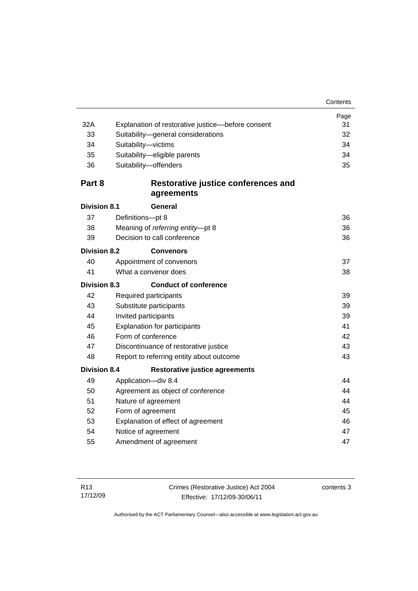|                     |                                                   | Page |  |
|---------------------|---------------------------------------------------|------|--|
| 32A                 | Explanation of restorative justice-before consent | 31   |  |
| 33                  | Suitability-general considerations                |      |  |
| 34                  | Suitability-victims                               |      |  |
| 35                  | Suitability-eligible parents                      | 34   |  |
| 36                  | Suitability-offenders                             | 35   |  |
| Part 8              | Restorative justice conferences and               |      |  |
|                     | agreements                                        |      |  |
| <b>Division 8.1</b> | General                                           |      |  |
| 37                  | Definitions-pt 8                                  | 36   |  |
| 38                  | Meaning of referring entity-pt 8                  | 36   |  |
| 39                  | Decision to call conference                       | 36   |  |
| <b>Division 8.2</b> | <b>Convenors</b>                                  |      |  |
| 40                  | Appointment of convenors                          | 37   |  |
| 41                  | What a convenor does                              | 38   |  |
| <b>Division 8.3</b> | <b>Conduct of conference</b>                      |      |  |
| 42                  | Required participants                             | 39   |  |
| 43                  | Substitute participants                           | 39   |  |
| 44                  | Invited participants<br>39                        |      |  |
| 45                  | <b>Explanation for participants</b>               |      |  |
| 46                  | Form of conference                                |      |  |
| 47                  | Discontinuance of restorative justice             |      |  |
| 48                  | Report to referring entity about outcome          | 43   |  |
| <b>Division 8.4</b> | <b>Restorative justice agreements</b>             |      |  |
| 49                  | Application-div 8.4                               | 44   |  |
| 50                  | Agreement as object of conference                 | 44   |  |
| 51                  | Nature of agreement                               |      |  |
| 52                  | Form of agreement                                 |      |  |
| 53                  | Explanation of effect of agreement                |      |  |
| 54                  | Notice of agreement                               |      |  |
| 55                  | Amendment of agreement                            | 47   |  |
|                     |                                                   |      |  |

contents 3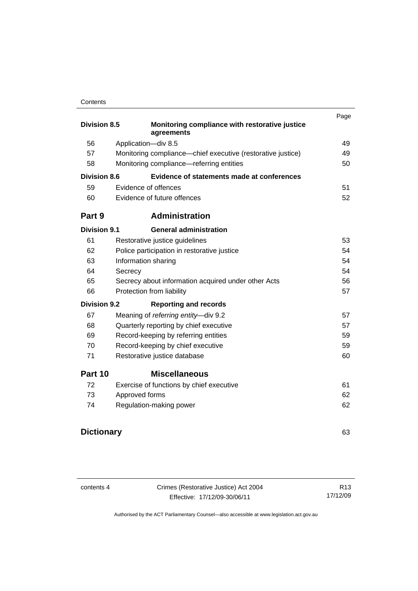#### **Contents**

|                     |                                                              | Page |
|---------------------|--------------------------------------------------------------|------|
| <b>Division 8.5</b> | Monitoring compliance with restorative justice<br>agreements |      |
| 56                  | Application-div 8.5                                          | 49   |
| 57                  | Monitoring compliance—chief executive (restorative justice)  | 49   |
| 58                  | Monitoring compliance—referring entities                     | 50   |
| <b>Division 8.6</b> | Evidence of statements made at conferences                   |      |
| 59                  | Evidence of offences                                         | 51   |
| 60                  | Evidence of future offences                                  | 52   |
| Part 9              | <b>Administration</b>                                        |      |
| <b>Division 9.1</b> | <b>General administration</b>                                |      |
| 61                  | Restorative justice guidelines                               | 53   |
| 62                  | Police participation in restorative justice                  | 54   |
| 63                  | Information sharing                                          | 54   |
| 64                  | Secrecy                                                      | 54   |
| 65                  | Secrecy about information acquired under other Acts          |      |
| 66                  | Protection from liability                                    | 57   |
| <b>Division 9.2</b> | <b>Reporting and records</b>                                 |      |
| 67                  | Meaning of referring entity-div 9.2                          | 57   |
| 68                  | Quarterly reporting by chief executive                       | 57   |
| 69                  | Record-keeping by referring entities                         | 59   |
| 70                  | Record-keeping by chief executive                            | 59   |
| 71                  | Restorative justice database                                 | 60   |
| Part 10             | <b>Miscellaneous</b>                                         |      |
| 72                  | Exercise of functions by chief executive                     | 61   |
| 73                  | Approved forms                                               | 62   |
| 74                  | Regulation-making power                                      | 62   |
|                     |                                                              |      |

# **Dictionary** 63

contents 4 Crimes (Restorative Justice) Act 2004 Effective: 17/12/09-30/06/11

R13 17/12/09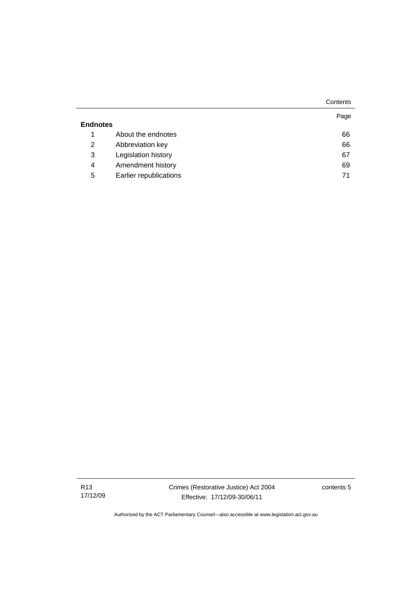|                 |                        | Contents |
|-----------------|------------------------|----------|
| <b>Endnotes</b> |                        | Page     |
| 1               | About the endnotes     | 66       |
| 2               | Abbreviation key       | 66       |
| 3               | Legislation history    | 67       |
| 4               | Amendment history      | 69       |
| 5               | Earlier republications | 71       |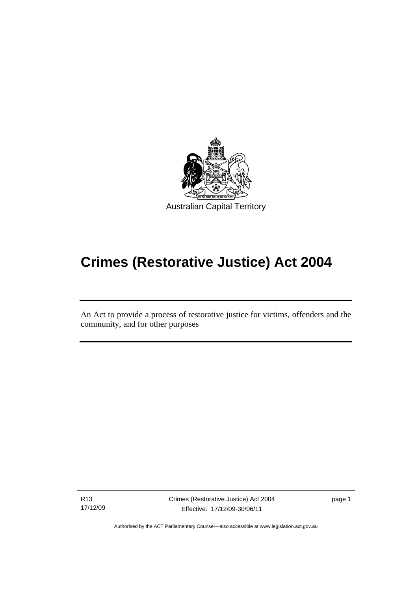

# **Crimes (Restorative Justice) Act 2004**

An Act to provide a process of restorative justice for victims, offenders and the community, and for other purposes

R13 17/12/09

Ī

Crimes (Restorative Justice) Act 2004 Effective: 17/12/09-30/06/11

page 1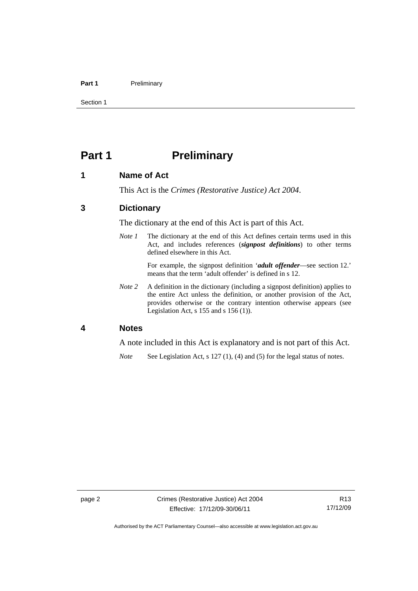#### Part 1 **Preliminary**

Section 1

# **Part 1** Preliminary

## **1 Name of Act**

This Act is the *Crimes (Restorative Justice) Act 2004*.

## **3 Dictionary**

The dictionary at the end of this Act is part of this Act.

*Note 1* The dictionary at the end of this Act defines certain terms used in this Act, and includes references (*signpost definitions*) to other terms defined elsewhere in this Act.

> For example, the signpost definition '*adult offender*—see section 12.' means that the term 'adult offender' is defined in s 12.

*Note 2* A definition in the dictionary (including a signpost definition) applies to the entire Act unless the definition, or another provision of the Act, provides otherwise or the contrary intention otherwise appears (see Legislation Act, s 155 and s 156 (1)).

#### **4 Notes**

A note included in this Act is explanatory and is not part of this Act.

*Note* See Legislation Act, s 127 (1), (4) and (5) for the legal status of notes.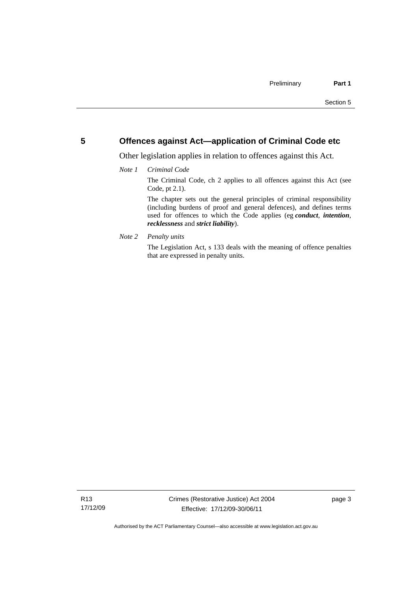## **5 Offences against Act—application of Criminal Code etc**

Other legislation applies in relation to offences against this Act.

#### *Note 1 Criminal Code*

The Criminal Code, ch 2 applies to all offences against this Act (see Code, pt 2.1).

The chapter sets out the general principles of criminal responsibility (including burdens of proof and general defences), and defines terms used for offences to which the Code applies (eg *conduct*, *intention*, *recklessness* and *strict liability*).

*Note 2 Penalty units* 

The Legislation Act, s 133 deals with the meaning of offence penalties that are expressed in penalty units.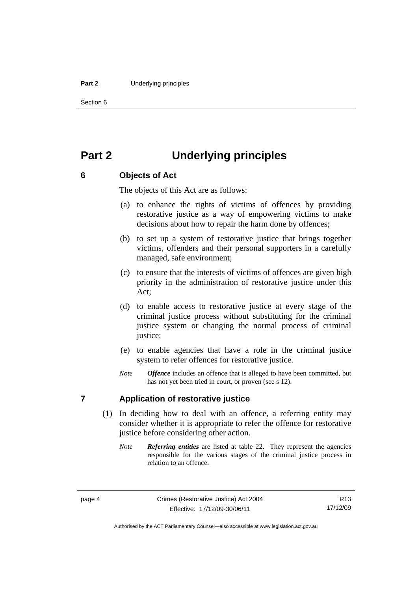#### **Part 2** Underlying principles

Section 6

# **Part 2 Underlying principles**

# **6 Objects of Act**

The objects of this Act are as follows:

- (a) to enhance the rights of victims of offences by providing restorative justice as a way of empowering victims to make decisions about how to repair the harm done by offences;
- (b) to set up a system of restorative justice that brings together victims, offenders and their personal supporters in a carefully managed, safe environment;
- (c) to ensure that the interests of victims of offences are given high priority in the administration of restorative justice under this Act;
- (d) to enable access to restorative justice at every stage of the criminal justice process without substituting for the criminal justice system or changing the normal process of criminal justice;
- (e) to enable agencies that have a role in the criminal justice system to refer offences for restorative justice.
- *Note Offence* includes an offence that is alleged to have been committed, but has not yet been tried in court, or proven (see s 12).

## **7 Application of restorative justice**

- (1) In deciding how to deal with an offence, a referring entity may consider whether it is appropriate to refer the offence for restorative justice before considering other action.
	- *Note Referring entities* are listed at table 22. They represent the agencies responsible for the various stages of the criminal justice process in relation to an offence.

Authorised by the ACT Parliamentary Counsel—also accessible at www.legislation.act.gov.au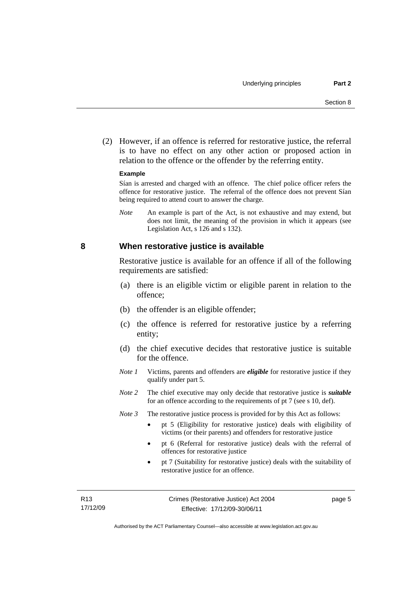(2) However, if an offence is referred for restorative justice, the referral is to have no effect on any other action or proposed action in relation to the offence or the offender by the referring entity.

#### **Example**

Sían is arrested and charged with an offence. The chief police officer refers the offence for restorative justice. The referral of the offence does not prevent Sían being required to attend court to answer the charge.

*Note* An example is part of the Act, is not exhaustive and may extend, but does not limit, the meaning of the provision in which it appears (see Legislation Act, s 126 and s 132).

#### **8 When restorative justice is available**

Restorative justice is available for an offence if all of the following requirements are satisfied:

- (a) there is an eligible victim or eligible parent in relation to the offence;
- (b) the offender is an eligible offender;
- (c) the offence is referred for restorative justice by a referring entity;
- (d) the chief executive decides that restorative justice is suitable for the offence.
- *Note 1* Victims, parents and offenders are *eligible* for restorative justice if they qualify under part 5.
- *Note 2* The chief executive may only decide that restorative justice is *suitable*  for an offence according to the requirements of pt 7 (see s 10, def).
- *Note 3* The restorative justice process is provided for by this Act as follows:
	- pt 5 (Eligibility for restorative justice) deals with eligibility of victims (or their parents) and offenders for restorative justice
	- pt 6 (Referral for restorative justice) deals with the referral of offences for restorative justice
	- pt 7 (Suitability for restorative justice) deals with the suitability of restorative justice for an offence.

page 5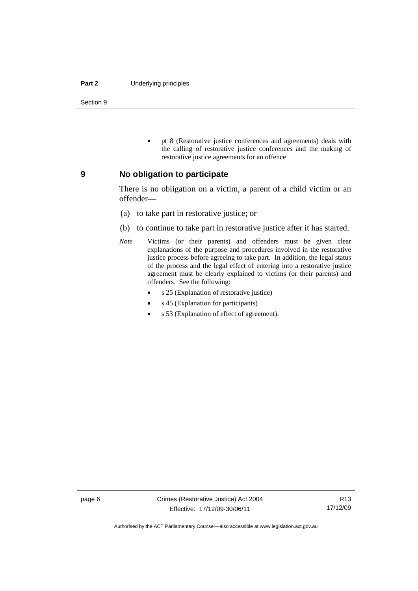#### **Part 2** Underlying principles

Section 9

 pt 8 (Restorative justice conferences and agreements) deals with the calling of restorative justice conferences and the making of restorative justice agreements for an offence

#### **9 No obligation to participate**

There is no obligation on a victim, a parent of a child victim or an offender—

- (a) to take part in restorative justice; or
- (b) to continue to take part in restorative justice after it has started.
- *Note* Victims (or their parents) and offenders must be given clear explanations of the purpose and procedures involved in the restorative justice process before agreeing to take part. In addition, the legal status of the process and the legal effect of entering into a restorative justice agreement must be clearly explained to victims (or their parents) and offenders. See the following:
	- s 25 (Explanation of restorative justice)
	- s 45 (Explanation for participants)
	- s 53 (Explanation of effect of agreement).

Authorised by the ACT Parliamentary Counsel—also accessible at www.legislation.act.gov.au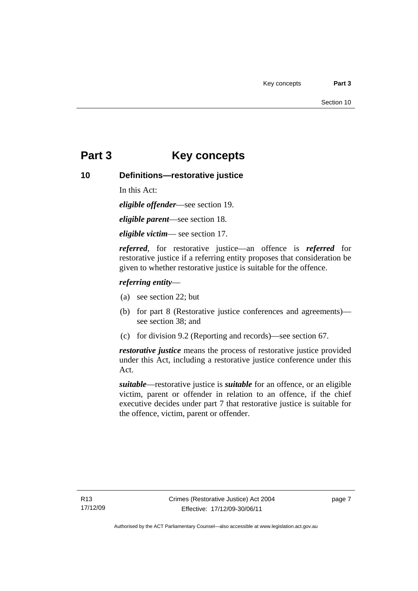# **Part 3 Key concepts**

## **10 Definitions—restorative justice**

In this Act:

*eligible offender*—see section 19.

*eligible parent*—see section 18.

*eligible victim*— see section 17.

*referred*, for restorative justice—an offence is *referred* for restorative justice if a referring entity proposes that consideration be given to whether restorative justice is suitable for the offence.

## *referring entity*—

- (a) see section 22; but
- (b) for part 8 (Restorative justice conferences and agreements) see section 38; and
- (c) for division 9.2 (Reporting and records)—see section 67.

*restorative justice* means the process of restorative justice provided under this Act, including a restorative justice conference under this Act.

*suitable*—restorative justice is *suitable* for an offence, or an eligible victim, parent or offender in relation to an offence, if the chief executive decides under part 7 that restorative justice is suitable for the offence, victim, parent or offender.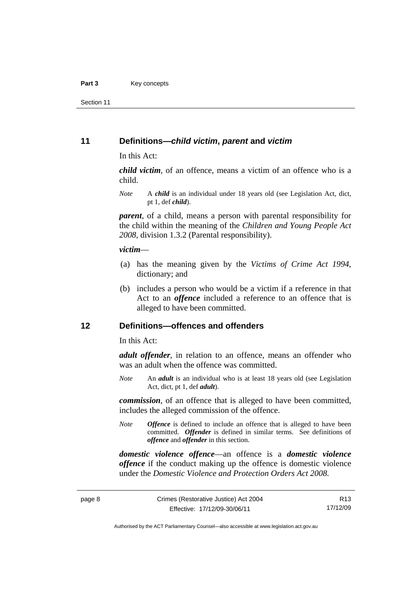Section 11

### **11 Definitions—***child victim***,** *parent* **and** *victim*

In this Act:

*child victim*, of an offence, means a victim of an offence who is a child.

*Note* A *child* is an individual under 18 years old (see Legislation Act, dict, pt 1, def *child*).

*parent*, of a child, means a person with parental responsibility for the child within the meaning of the *Children and Young People Act 2008*, division 1.3.2 (Parental responsibility).

#### *victim*—

- (a) has the meaning given by the *Victims of Crime Act 1994*, dictionary; and
- (b) includes a person who would be a victim if a reference in that Act to an *offence* included a reference to an offence that is alleged to have been committed.

## **12 Definitions—offences and offenders**

In this Act:

*adult offender*, in relation to an offence, means an offender who was an adult when the offence was committed.

*Note* An *adult* is an individual who is at least 18 years old (see Legislation Act, dict, pt 1, def *adult*).

*commission*, of an offence that is alleged to have been committed, includes the alleged commission of the offence.

*Note Offence* is defined to include an offence that is alleged to have been committed. *Offender* is defined in similar terms. See definitions of *offence* and *offender* in this section.

*domestic violence offence*—an offence is a *domestic violence offence* if the conduct making up the offence is domestic violence under the *Domestic Violence and Protection Orders Act 2008*.

R13 17/12/09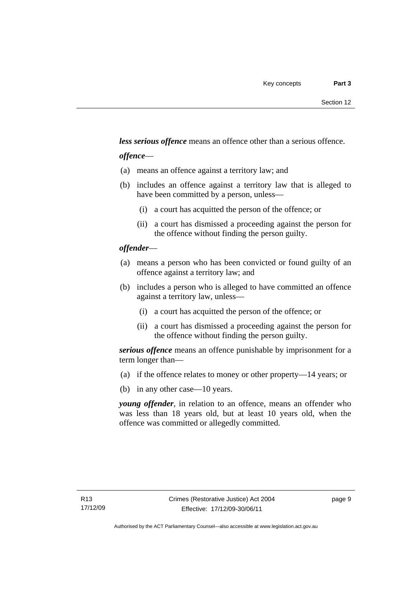*less serious offence* means an offence other than a serious offence.

### *offence*—

- (a) means an offence against a territory law; and
- (b) includes an offence against a territory law that is alleged to have been committed by a person, unless—
	- (i) a court has acquitted the person of the offence; or
	- (ii) a court has dismissed a proceeding against the person for the offence without finding the person guilty.

### *offender*—

- (a) means a person who has been convicted or found guilty of an offence against a territory law; and
- (b) includes a person who is alleged to have committed an offence against a territory law, unless—
	- (i) a court has acquitted the person of the offence; or
	- (ii) a court has dismissed a proceeding against the person for the offence without finding the person guilty.

*serious offence* means an offence punishable by imprisonment for a term longer than—

- (a) if the offence relates to money or other property—14 years; or
- (b) in any other case—10 years.

*young offender*, in relation to an offence, means an offender who was less than 18 years old, but at least 10 years old, when the offence was committed or allegedly committed.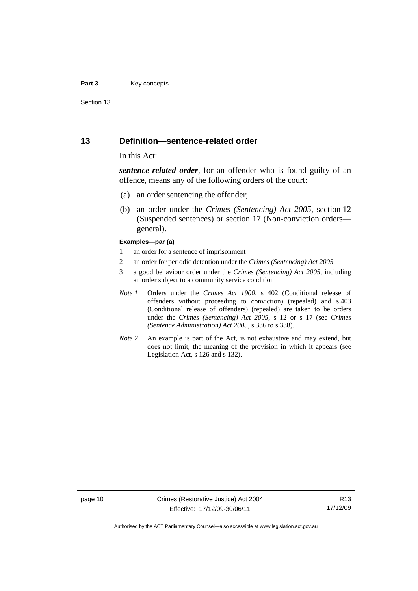#### **Part 3** Key concepts

Section 13

#### **13 Definition—sentence-related order**

#### In this Act:

*sentence-related order*, for an offender who is found guilty of an offence, means any of the following orders of the court:

- (a) an order sentencing the offender;
- (b) an order under the *Crimes (Sentencing) Act 2005*, section 12 (Suspended sentences) or section 17 (Non-conviction orders general).

#### **Examples—par (a)**

- 1 an order for a sentence of imprisonment
- 2 an order for periodic detention under the *Crimes (Sentencing) Act 2005*
- 3 a good behaviour order under the *Crimes (Sentencing) Act 2005*, including an order subject to a community service condition
- *Note 1* Orders under the *Crimes Act 1900*, s 402 (Conditional release of offenders without proceeding to conviction) (repealed) and s 403 (Conditional release of offenders) (repealed) are taken to be orders under the *Crimes (Sentencing) Act 2005*, s 12 or s 17 (see *Crimes (Sentence Administration) Act 2005*, s 336 to s 338).
- *Note 2* An example is part of the Act, is not exhaustive and may extend, but does not limit, the meaning of the provision in which it appears (see Legislation Act, s 126 and s 132).

page 10 Crimes (Restorative Justice) Act 2004 Effective: 17/12/09-30/06/11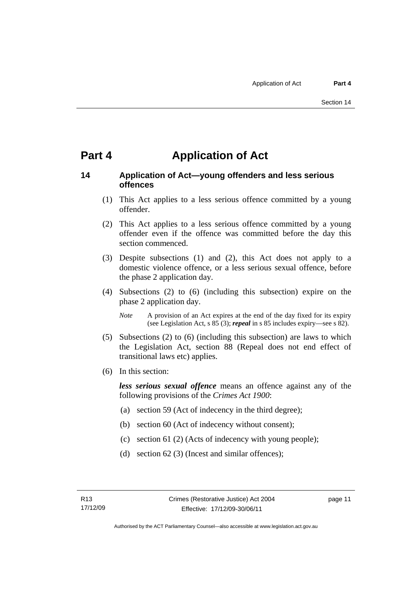# **Part 4 Application of Act**

# **14 Application of Act—young offenders and less serious offences**

- (1) This Act applies to a less serious offence committed by a young offender.
- (2) This Act applies to a less serious offence committed by a young offender even if the offence was committed before the day this section commenced.
- (3) Despite subsections (1) and (2), this Act does not apply to a domestic violence offence, or a less serious sexual offence, before the phase 2 application day.
- (4) Subsections (2) to (6) (including this subsection) expire on the phase 2 application day.
	- *Note* A provision of an Act expires at the end of the day fixed for its expiry (see Legislation Act, s 85 (3); *repeal* in s 85 includes expiry—see s 82).
- (5) Subsections (2) to (6) (including this subsection) are laws to which the Legislation Act, section 88 (Repeal does not end effect of transitional laws etc) applies.
- (6) In this section:

*less serious sexual offence* means an offence against any of the following provisions of the *Crimes Act 1900*:

- (a) section 59 (Act of indecency in the third degree);
- (b) section 60 (Act of indecency without consent);
- (c) section 61 (2) (Acts of indecency with young people);
- (d) section 62 (3) (Incest and similar offences);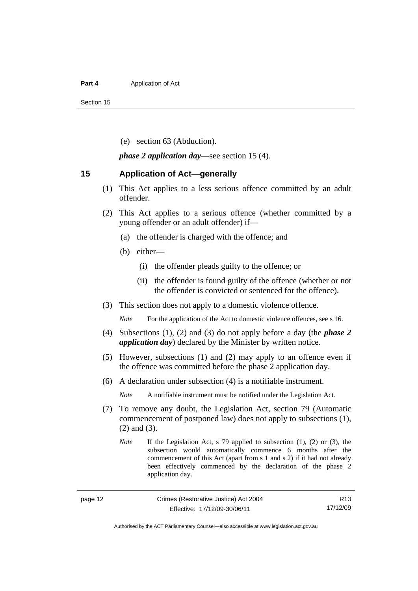#### **Part 4 Application of Act**

Section 15

(e) section 63 (Abduction).

*phase 2 application day*—see section 15 (4).

#### **15 Application of Act—generally**

- (1) This Act applies to a less serious offence committed by an adult offender.
- (2) This Act applies to a serious offence (whether committed by a young offender or an adult offender) if—
	- (a) the offender is charged with the offence; and
	- (b) either—
		- (i) the offender pleads guilty to the offence; or
		- (ii) the offender is found guilty of the offence (whether or not the offender is convicted or sentenced for the offence).
- (3) This section does not apply to a domestic violence offence.

*Note* For the application of the Act to domestic violence offences, see s 16.

- (4) Subsections (1), (2) and (3) do not apply before a day (the *phase 2 application day*) declared by the Minister by written notice.
- (5) However, subsections (1) and (2) may apply to an offence even if the offence was committed before the phase 2 application day.
- (6) A declaration under subsection (4) is a notifiable instrument.

*Note* A notifiable instrument must be notified under the Legislation Act.

- (7) To remove any doubt, the Legislation Act, section 79 (Automatic commencement of postponed law) does not apply to subsections (1), (2) and (3).
	- *Note* If the Legislation Act, s 79 applied to subsection (1), (2) or (3), the subsection would automatically commence 6 months after the commencement of this Act (apart from s 1 and s 2) if it had not already been effectively commenced by the declaration of the phase 2 application day.

Authorised by the ACT Parliamentary Counsel—also accessible at www.legislation.act.gov.au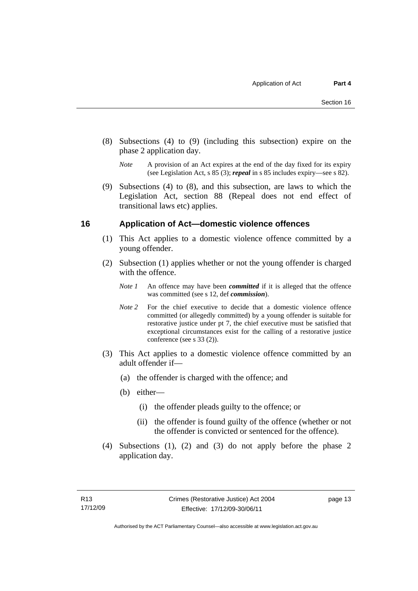- (8) Subsections (4) to (9) (including this subsection) expire on the phase 2 application day.
	- *Note* A provision of an Act expires at the end of the day fixed for its expiry (see Legislation Act, s 85 (3); *repeal* in s 85 includes expiry—see s 82).
- (9) Subsections (4) to (8), and this subsection, are laws to which the Legislation Act, section 88 (Repeal does not end effect of transitional laws etc) applies.

## **16 Application of Act—domestic violence offences**

- (1) This Act applies to a domestic violence offence committed by a young offender.
- (2) Subsection (1) applies whether or not the young offender is charged with the offence.
	- *Note 1* An offence may have been *committed* if it is alleged that the offence was committed (see s 12, def *commission*).
	- *Note* 2 For the chief executive to decide that a domestic violence offence committed (or allegedly committed) by a young offender is suitable for restorative justice under pt 7, the chief executive must be satisfied that exceptional circumstances exist for the calling of a restorative justice conference (see s 33 (2)).
- (3) This Act applies to a domestic violence offence committed by an adult offender if—
	- (a) the offender is charged with the offence; and
	- (b) either—
		- (i) the offender pleads guilty to the offence; or
		- (ii) the offender is found guilty of the offence (whether or not the offender is convicted or sentenced for the offence).
- (4) Subsections (1), (2) and (3) do not apply before the phase 2 application day.

page 13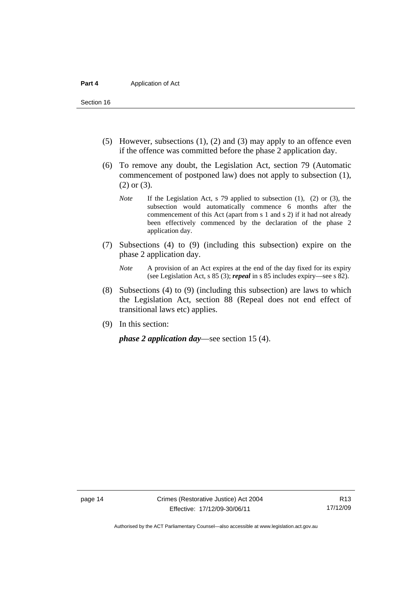Section 16

- (5) However, subsections (1), (2) and (3) may apply to an offence even if the offence was committed before the phase 2 application day.
- (6) To remove any doubt, the Legislation Act, section 79 (Automatic commencement of postponed law) does not apply to subsection (1), (2) or (3).
	- *Note* If the Legislation Act, s 79 applied to subsection (1), (2) or (3), the subsection would automatically commence 6 months after the commencement of this Act (apart from s 1 and s 2) if it had not already been effectively commenced by the declaration of the phase 2 application day.
- (7) Subsections (4) to (9) (including this subsection) expire on the phase 2 application day.
	- *Note* A provision of an Act expires at the end of the day fixed for its expiry (see Legislation Act, s 85 (3); *repeal* in s 85 includes expiry—see s 82).
- (8) Subsections (4) to (9) (including this subsection) are laws to which the Legislation Act, section 88 (Repeal does not end effect of transitional laws etc) applies.
- (9) In this section:

*phase 2 application day*—see section 15 (4).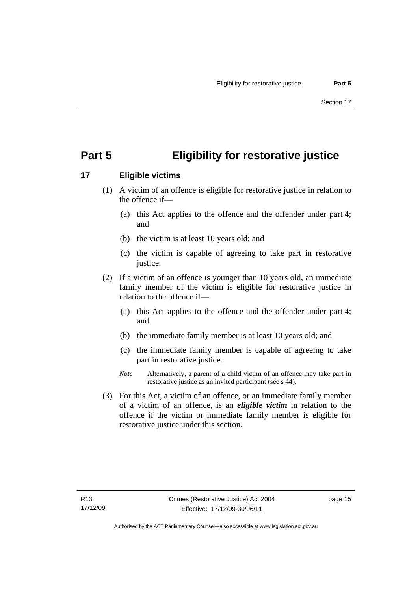# **Part 5 Eligibility for restorative justice**

# **17 Eligible victims**

- (1) A victim of an offence is eligible for restorative justice in relation to the offence if—
	- (a) this Act applies to the offence and the offender under part 4; and
	- (b) the victim is at least 10 years old; and
	- (c) the victim is capable of agreeing to take part in restorative justice.
- (2) If a victim of an offence is younger than 10 years old, an immediate family member of the victim is eligible for restorative justice in relation to the offence if—
	- (a) this Act applies to the offence and the offender under part 4; and
	- (b) the immediate family member is at least 10 years old; and
	- (c) the immediate family member is capable of agreeing to take part in restorative justice.
	- *Note* Alternatively, a parent of a child victim of an offence may take part in restorative justice as an invited participant (see s 44).
- (3) For this Act, a victim of an offence, or an immediate family member of a victim of an offence, is an *eligible victim* in relation to the offence if the victim or immediate family member is eligible for restorative justice under this section.

page 15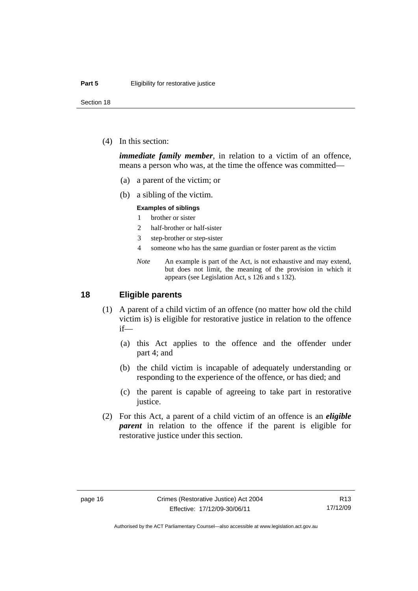Section 18

(4) In this section:

*immediate family member*, in relation to a victim of an offence, means a person who was, at the time the offence was committed—

- (a) a parent of the victim; or
- (b) a sibling of the victim.

#### **Examples of siblings**

- 1 brother or sister
- 2 half-brother or half-sister
- 3 step-brother or step-sister
- 4 someone who has the same guardian or foster parent as the victim
- *Note* An example is part of the Act, is not exhaustive and may extend, but does not limit, the meaning of the provision in which it appears (see Legislation Act, s 126 and s 132).

## **18 Eligible parents**

- (1) A parent of a child victim of an offence (no matter how old the child victim is) is eligible for restorative justice in relation to the offence if—
	- (a) this Act applies to the offence and the offender under part 4; and
	- (b) the child victim is incapable of adequately understanding or responding to the experience of the offence, or has died; and
	- (c) the parent is capable of agreeing to take part in restorative justice.
- (2) For this Act, a parent of a child victim of an offence is an *eligible parent* in relation to the offence if the parent is eligible for restorative justice under this section.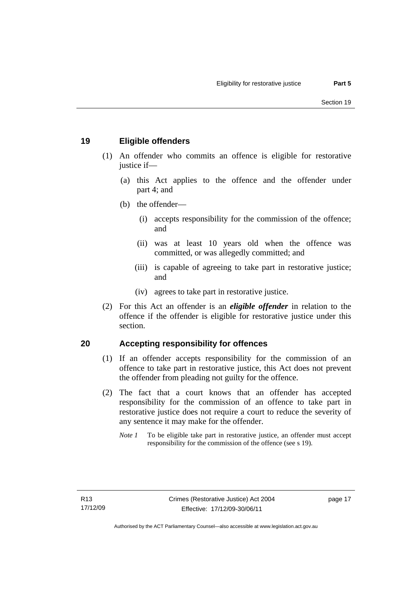# **19 Eligible offenders**

- (1) An offender who commits an offence is eligible for restorative justice if-
	- (a) this Act applies to the offence and the offender under part 4; and
	- (b) the offender—
		- (i) accepts responsibility for the commission of the offence; and
		- (ii) was at least 10 years old when the offence was committed, or was allegedly committed; and
		- (iii) is capable of agreeing to take part in restorative justice; and
		- (iv) agrees to take part in restorative justice.
- (2) For this Act an offender is an *eligible offender* in relation to the offence if the offender is eligible for restorative justice under this section.

# **20 Accepting responsibility for offences**

- (1) If an offender accepts responsibility for the commission of an offence to take part in restorative justice, this Act does not prevent the offender from pleading not guilty for the offence.
- (2) The fact that a court knows that an offender has accepted responsibility for the commission of an offence to take part in restorative justice does not require a court to reduce the severity of any sentence it may make for the offender.
	- *Note 1* To be eligible take part in restorative justice, an offender must accept responsibility for the commission of the offence (see s 19).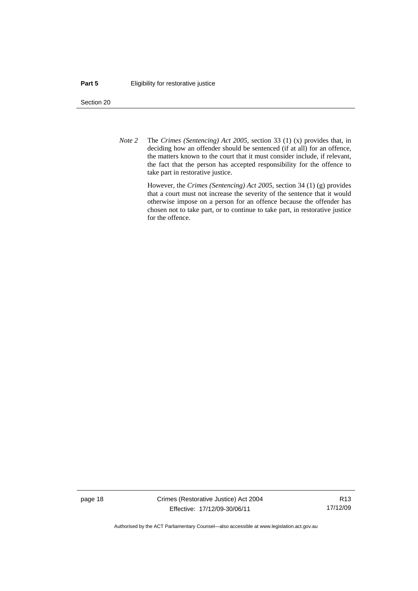#### **Part 5 Eligibility for restorative justice**

Section 20

*Note 2* The *Crimes (Sentencing) Act 2005*, section 33 (1) (x) provides that, in deciding how an offender should be sentenced (if at all) for an offence, the matters known to the court that it must consider include, if relevant, the fact that the person has accepted responsibility for the offence to take part in restorative justice.

> However, the *Crimes (Sentencing) Act 2005*, section 34 (1) (g) provides that a court must not increase the severity of the sentence that it would otherwise impose on a person for an offence because the offender has chosen not to take part, or to continue to take part, in restorative justice for the offence.

page 18 Crimes (Restorative Justice) Act 2004 Effective: 17/12/09-30/06/11

R13 17/12/09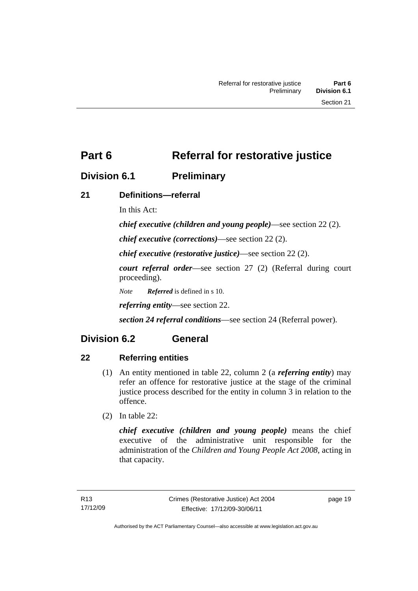# **Division 6.1 Preliminary**

# **21 Definitions—referral**

In this Act:

*chief executive (children and young people)*—see section 22 (2).

*chief executive (corrections)*—see section 22 (2).

*chief executive (restorative justice)*—see section 22 (2).

*court referral order*—see section 27 (2) (Referral during court proceeding).

*Note Referred* is defined in s 10.

*referring entity*—see section 22.

*section 24 referral conditions*—see section 24 (Referral power).

# **Division 6.2 General**

# **22 Referring entities**

- (1) An entity mentioned in table 22, column 2 (a *referring entity*) may refer an offence for restorative justice at the stage of the criminal justice process described for the entity in column 3 in relation to the offence.
- (2) In table 22:

*chief executive (children and young people)* means the chief executive of the administrative unit responsible for the administration of the *Children and Young People Act 2008*, acting in that capacity.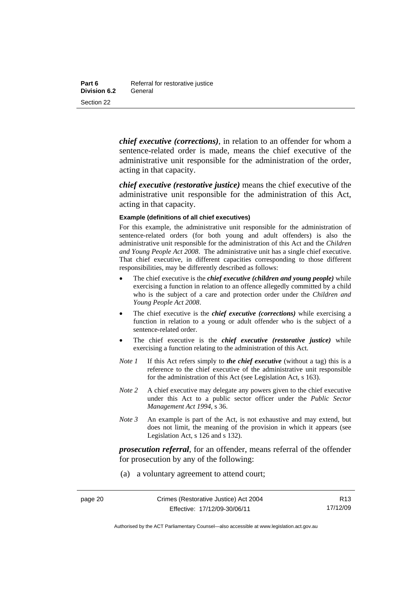*chief executive (corrections)*, in relation to an offender for whom a sentence-related order is made, means the chief executive of the administrative unit responsible for the administration of the order, acting in that capacity.

*chief executive (restorative justice)* means the chief executive of the administrative unit responsible for the administration of this Act, acting in that capacity.

#### **Example (definitions of all chief executives)**

For this example, the administrative unit responsible for the administration of sentence-related orders (for both young and adult offenders) is also the administrative unit responsible for the administration of this Act and the *Children and Young People Act 2008*. The administrative unit has a single chief executive. That chief executive, in different capacities corresponding to those different responsibilities, may be differently described as follows:

- The chief executive is the *chief executive (children and young people)* while exercising a function in relation to an offence allegedly committed by a child who is the subject of a care and protection order under the *Children and Young People Act 2008*.
- The chief executive is the *chief executive (corrections)* while exercising a function in relation to a young or adult offender who is the subject of a sentence-related order.
- The chief executive is the *chief executive (restorative justice)* while exercising a function relating to the administration of this Act.
- *Note 1* If this Act refers simply to *the chief executive* (without a tag) this is a reference to the chief executive of the administrative unit responsible for the administration of this Act (see Legislation Act, s 163).
- *Note* 2 A chief executive may delegate any powers given to the chief executive under this Act to a public sector officer under the *Public Sector Management Act 1994*, s 36.
- *Note 3* An example is part of the Act, is not exhaustive and may extend, but does not limit, the meaning of the provision in which it appears (see Legislation Act, s 126 and s 132).

*prosecution referral*, for an offender, means referral of the offender for prosecution by any of the following:

(a) a voluntary agreement to attend court;

R13 17/12/09

Authorised by the ACT Parliamentary Counsel—also accessible at www.legislation.act.gov.au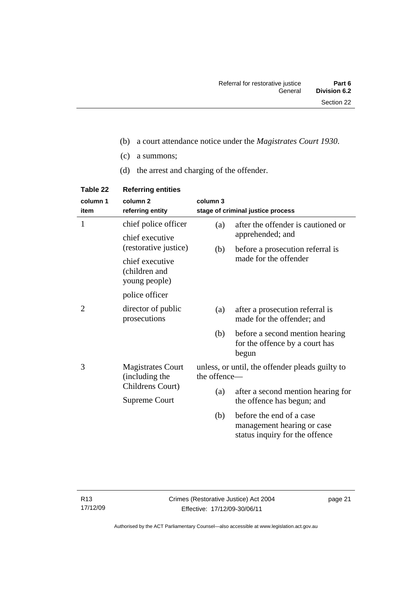- (b) a court attendance notice under the *Magistrates Court 1930*.
- (c) a summons;
- (d) the arrest and charging of the offender.

| Table 22         | <b>Referring entities</b>                         |                                                                 |                                                                                          |
|------------------|---------------------------------------------------|-----------------------------------------------------------------|------------------------------------------------------------------------------------------|
| column 1<br>item | column <sub>2</sub><br>referring entity           | column 3                                                        | stage of criminal justice process                                                        |
| 1                | chief police officer                              | (a)                                                             | after the offender is cautioned or                                                       |
|                  | chief executive<br>(restorative justice)          | (b)                                                             | apprehended; and<br>before a prosecution referral is                                     |
|                  | chief executive<br>(children and<br>young people) |                                                                 | made for the offender                                                                    |
|                  | police officer                                    |                                                                 |                                                                                          |
| 2                | director of public<br>prosecutions                | (a)                                                             | after a prosecution referral is<br>made for the offender; and                            |
|                  |                                                   | (b)                                                             | before a second mention hearing<br>for the offence by a court has<br>begun               |
| 3                | <b>Magistrates Court</b><br>(including the        | unless, or until, the offender pleads guilty to<br>the offence- |                                                                                          |
|                  | Childrens Court)<br><b>Supreme Court</b>          | (a)                                                             | after a second mention hearing for                                                       |
|                  |                                                   |                                                                 | the offence has begun; and                                                               |
|                  |                                                   | (b)                                                             | before the end of a case<br>management hearing or case<br>status inquiry for the offence |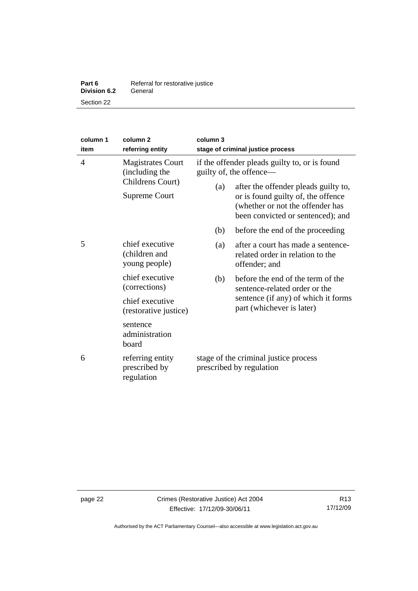| Part 6              | Referral for restorative justice |
|---------------------|----------------------------------|
| <b>Division 6.2</b> | General                          |
| Section 22          |                                  |

| column 1<br>item                                             | column 2<br>referring entity                      | column 3<br>stage of criminal justice process                                                                                                       |                                                                                         |
|--------------------------------------------------------------|---------------------------------------------------|-----------------------------------------------------------------------------------------------------------------------------------------------------|-----------------------------------------------------------------------------------------|
| $\overline{4}$<br><b>Magistrates Court</b><br>(including the |                                                   | if the offender pleads guilty to, or is found<br>guilty of, the offence-                                                                            |                                                                                         |
| Childrens Court)<br>Supreme Court                            | (a)                                               | after the offender pleads guilty to,<br>or is found guilty of, the offence<br>(whether or not the offender has<br>been convicted or sentenced); and |                                                                                         |
|                                                              |                                                   | (b)                                                                                                                                                 | before the end of the proceeding                                                        |
| 5                                                            | chief executive<br>(children and<br>young people) | (a)                                                                                                                                                 | after a court has made a sentence-<br>related order in relation to the<br>offender; and |
| (corrections)                                                | chief executive                                   | (b)                                                                                                                                                 | before the end of the term of the<br>sentence-related order or the                      |
|                                                              | chief executive<br>(restorative justice)          |                                                                                                                                                     | sentence (if any) of which it forms<br>part (whichever is later)                        |
|                                                              | sentence<br>administration<br>board               |                                                                                                                                                     |                                                                                         |
| 6                                                            | referring entity<br>prescribed by<br>regulation   | stage of the criminal justice process<br>prescribed by regulation                                                                                   |                                                                                         |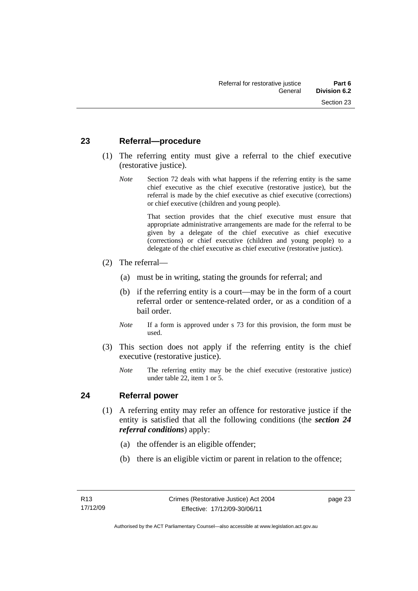## **23 Referral—procedure**

- (1) The referring entity must give a referral to the chief executive (restorative justice).
	- *Note* Section 72 deals with what happens if the referring entity is the same chief executive as the chief executive (restorative justice), but the referral is made by the chief executive as chief executive (corrections) or chief executive (children and young people).

 That section provides that the chief executive must ensure that appropriate administrative arrangements are made for the referral to be given by a delegate of the chief executive as chief executive (corrections) or chief executive (children and young people) to a delegate of the chief executive as chief executive (restorative justice).

- (2) The referral—
	- (a) must be in writing, stating the grounds for referral; and
	- (b) if the referring entity is a court—may be in the form of a court referral order or sentence-related order, or as a condition of a bail order.
	- *Note* If a form is approved under s 73 for this provision, the form must be used.
- (3) This section does not apply if the referring entity is the chief executive (restorative justice).
	- *Note* The referring entity may be the chief executive (restorative justice) under table 22, item 1 or 5.

## **24 Referral power**

- (1) A referring entity may refer an offence for restorative justice if the entity is satisfied that all the following conditions (the *section 24 referral conditions*) apply:
	- (a) the offender is an eligible offender;
	- (b) there is an eligible victim or parent in relation to the offence;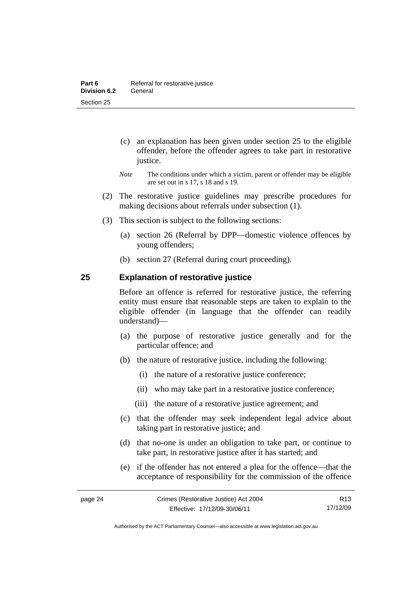- (c) an explanation has been given under section 25 to the eligible offender, before the offender agrees to take part in restorative justice.
- *Note* The conditions under which a victim, parent or offender may be eligible are set out in s 17, s 18 and s 19.
- (2) The restorative justice guidelines may prescribe procedures for making decisions about referrals under subsection (1).
- (3) This section is subject to the following sections:
	- (a) section 26 (Referral by DPP—domestic violence offences by young offenders;
	- (b) section 27 (Referral during court proceeding).

# **25 Explanation of restorative justice**

Before an offence is referred for restorative justice, the referring entity must ensure that reasonable steps are taken to explain to the eligible offender (in language that the offender can readily understand)––

- (a) the purpose of restorative justice generally and for the particular offence; and
- (b) the nature of restorative justice, including the following:
	- (i) the nature of a restorative justice conference;
	- (ii) who may take part in a restorative justice conference;
	- (iii) the nature of a restorative justice agreement; and
- (c) that the offender may seek independent legal advice about taking part in restorative justice; and
- (d) that no-one is under an obligation to take part, or continue to take part, in restorative justice after it has started; and
- (e) if the offender has not entered a plea for the offence—that the acceptance of responsibility for the commission of the offence

page 24 Crimes (Restorative Justice) Act 2004 Effective: 17/12/09-30/06/11 R13 17/12/09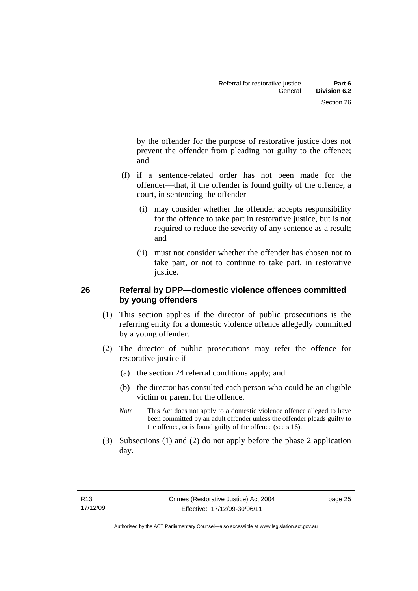by the offender for the purpose of restorative justice does not prevent the offender from pleading not guilty to the offence; and

- (f) if a sentence-related order has not been made for the offender—that, if the offender is found guilty of the offence, a court, in sentencing the offender—
	- (i) may consider whether the offender accepts responsibility for the offence to take part in restorative justice, but is not required to reduce the severity of any sentence as a result; and
	- (ii) must not consider whether the offender has chosen not to take part, or not to continue to take part, in restorative justice.

# **26 Referral by DPP—domestic violence offences committed by young offenders**

- (1) This section applies if the director of public prosecutions is the referring entity for a domestic violence offence allegedly committed by a young offender.
- (2) The director of public prosecutions may refer the offence for restorative justice if—
	- (a) the section 24 referral conditions apply; and
	- (b) the director has consulted each person who could be an eligible victim or parent for the offence.
	- *Note* This Act does not apply to a domestic violence offence alleged to have been committed by an adult offender unless the offender pleads guilty to the offence, or is found guilty of the offence (see s 16).
- (3) Subsections (1) and (2) do not apply before the phase 2 application day.

page 25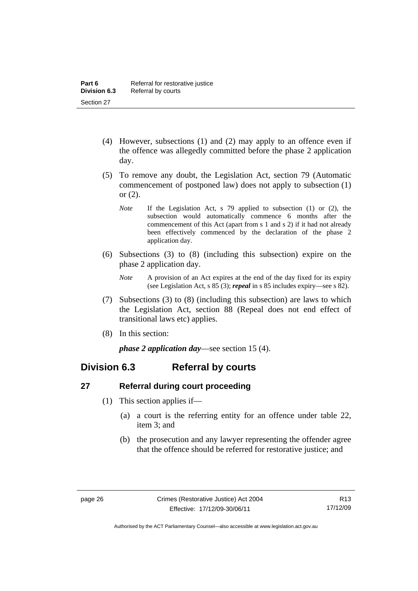- (4) However, subsections (1) and (2) may apply to an offence even if the offence was allegedly committed before the phase 2 application day.
- (5) To remove any doubt, the Legislation Act, section 79 (Automatic commencement of postponed law) does not apply to subsection (1) or (2).
	- *Note* If the Legislation Act, s 79 applied to subsection (1) or (2), the subsection would automatically commence 6 months after the commencement of this Act (apart from s 1 and s 2) if it had not already been effectively commenced by the declaration of the phase 2 application day.
- (6) Subsections (3) to (8) (including this subsection) expire on the phase 2 application day.
	- *Note* A provision of an Act expires at the end of the day fixed for its expiry (see Legislation Act, s 85 (3); *repeal* in s 85 includes expiry—see s 82).
- (7) Subsections (3) to (8) (including this subsection) are laws to which the Legislation Act, section 88 (Repeal does not end effect of transitional laws etc) applies.
- (8) In this section:

*phase 2 application day*—see section 15 (4).

# **Division 6.3 Referral by courts**

# **27 Referral during court proceeding**

- (1) This section applies if—
	- (a) a court is the referring entity for an offence under table 22, item 3; and
	- (b) the prosecution and any lawyer representing the offender agree that the offence should be referred for restorative justice; and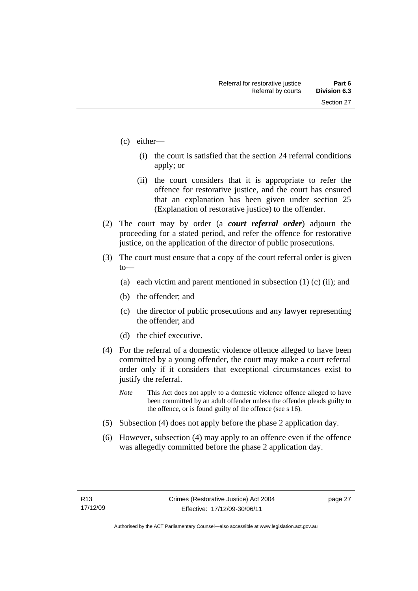- (c) either—
	- (i) the court is satisfied that the section 24 referral conditions apply; or
	- (ii) the court considers that it is appropriate to refer the offence for restorative justice, and the court has ensured that an explanation has been given under section 25 (Explanation of restorative justice) to the offender.
- (2) The court may by order (a *court referral order*) adjourn the proceeding for a stated period, and refer the offence for restorative justice, on the application of the director of public prosecutions.
- (3) The court must ensure that a copy of the court referral order is given to—
	- (a) each victim and parent mentioned in subsection  $(1)$  (c) (ii); and
	- (b) the offender; and
	- (c) the director of public prosecutions and any lawyer representing the offender; and
	- (d) the chief executive.
- (4) For the referral of a domestic violence offence alleged to have been committed by a young offender, the court may make a court referral order only if it considers that exceptional circumstances exist to justify the referral.
	- *Note* This Act does not apply to a domestic violence offence alleged to have been committed by an adult offender unless the offender pleads guilty to the offence, or is found guilty of the offence (see s 16).
- (5) Subsection (4) does not apply before the phase 2 application day.
- (6) However, subsection (4) may apply to an offence even if the offence was allegedly committed before the phase 2 application day.

page 27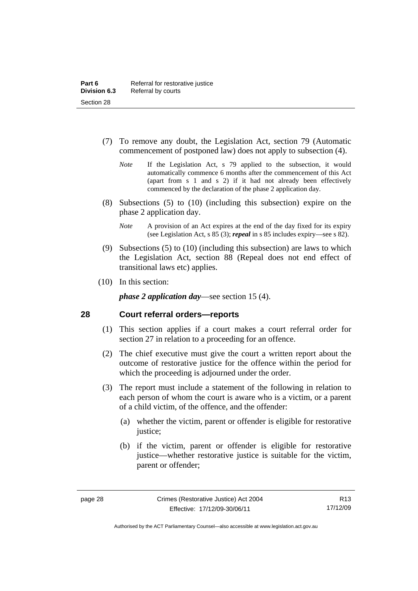- (7) To remove any doubt, the Legislation Act, section 79 (Automatic commencement of postponed law) does not apply to subsection (4).
	- *Note* If the Legislation Act, s 79 applied to the subsection, it would automatically commence 6 months after the commencement of this Act (apart from s 1 and s 2) if it had not already been effectively commenced by the declaration of the phase 2 application day.
- (8) Subsections (5) to (10) (including this subsection) expire on the phase 2 application day.
	- *Note* A provision of an Act expires at the end of the day fixed for its expiry (see Legislation Act, s 85 (3); *repeal* in s 85 includes expiry—see s 82).
- (9) Subsections (5) to (10) (including this subsection) are laws to which the Legislation Act, section 88 (Repeal does not end effect of transitional laws etc) applies.
- (10) In this section:

*phase 2 application day*—see section 15 (4).

## **28 Court referral orders—reports**

- (1) This section applies if a court makes a court referral order for section 27 in relation to a proceeding for an offence.
- (2) The chief executive must give the court a written report about the outcome of restorative justice for the offence within the period for which the proceeding is adjourned under the order.
- (3) The report must include a statement of the following in relation to each person of whom the court is aware who is a victim, or a parent of a child victim, of the offence, and the offender:
	- (a) whether the victim, parent or offender is eligible for restorative justice;
	- (b) if the victim, parent or offender is eligible for restorative justice—whether restorative justice is suitable for the victim, parent or offender;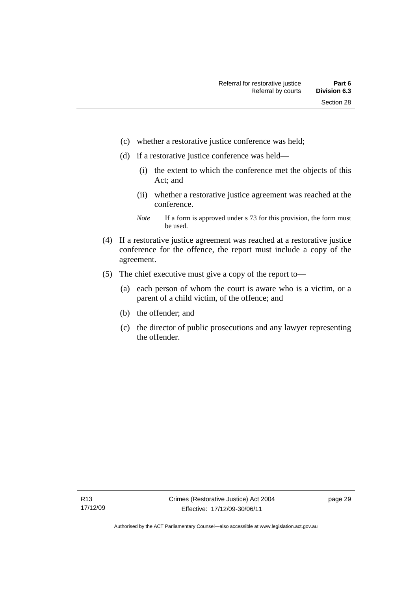- (c) whether a restorative justice conference was held;
- (d) if a restorative justice conference was held—
	- (i) the extent to which the conference met the objects of this Act; and
	- (ii) whether a restorative justice agreement was reached at the conference.
	- *Note* If a form is approved under s 73 for this provision, the form must be used.
- (4) If a restorative justice agreement was reached at a restorative justice conference for the offence, the report must include a copy of the agreement.
- (5) The chief executive must give a copy of the report to—
	- (a) each person of whom the court is aware who is a victim, or a parent of a child victim, of the offence; and
	- (b) the offender; and
	- (c) the director of public prosecutions and any lawyer representing the offender.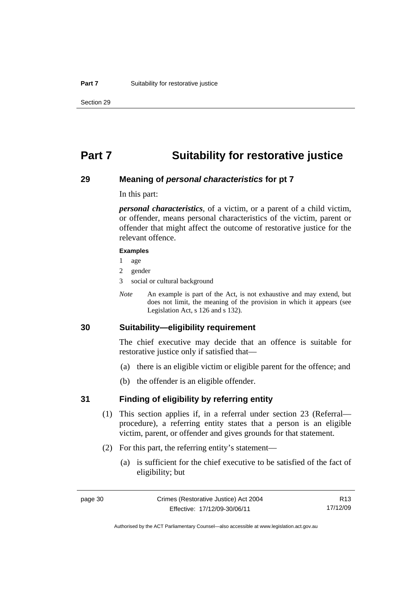## **Part 7 Suitability for restorative justice**

### **29 Meaning of** *personal characteristics* **for pt 7**

In this part:

*personal characteristics*, of a victim, or a parent of a child victim, or offender, means personal characteristics of the victim, parent or offender that might affect the outcome of restorative justice for the relevant offence.

#### **Examples**

- 1 age
- 2 gender
- 3 social or cultural background
- *Note* An example is part of the Act, is not exhaustive and may extend, but does not limit, the meaning of the provision in which it appears (see Legislation Act, s 126 and s 132).

## **30 Suitability—eligibility requirement**

The chief executive may decide that an offence is suitable for restorative justice only if satisfied that—

- (a) there is an eligible victim or eligible parent for the offence; and
- (b) the offender is an eligible offender.

### **31 Finding of eligibility by referring entity**

- (1) This section applies if, in a referral under section 23 (Referral procedure), a referring entity states that a person is an eligible victim, parent, or offender and gives grounds for that statement.
- (2) For this part, the referring entity's statement—
	- (a) is sufficient for the chief executive to be satisfied of the fact of eligibility; but

Authorised by the ACT Parliamentary Counsel—also accessible at www.legislation.act.gov.au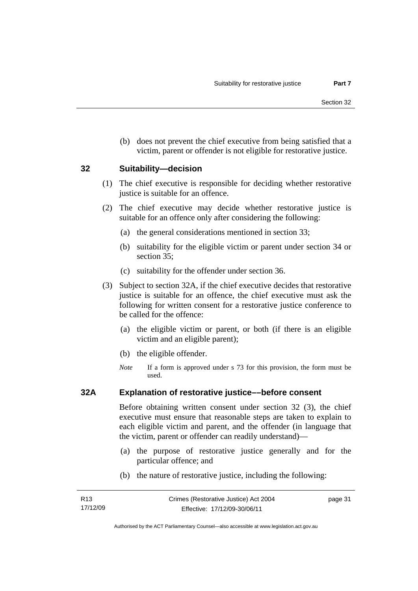(b) does not prevent the chief executive from being satisfied that a victim, parent or offender is not eligible for restorative justice.

### **32 Suitability—decision**

- (1) The chief executive is responsible for deciding whether restorative justice is suitable for an offence.
- (2) The chief executive may decide whether restorative justice is suitable for an offence only after considering the following:
	- (a) the general considerations mentioned in section 33;
	- (b) suitability for the eligible victim or parent under section 34 or section 35:
	- (c) suitability for the offender under section 36.
- (3) Subject to section 32A, if the chief executive decides that restorative justice is suitable for an offence, the chief executive must ask the following for written consent for a restorative justice conference to be called for the offence:
	- (a) the eligible victim or parent, or both (if there is an eligible victim and an eligible parent);
	- (b) the eligible offender.
	- *Note* If a form is approved under s 73 for this provision, the form must be used.

### **32A Explanation of restorative justice––before consent**

Before obtaining written consent under section 32 (3), the chief executive must ensure that reasonable steps are taken to explain to each eligible victim and parent, and the offender (in language that the victim, parent or offender can readily understand)—

- (a) the purpose of restorative justice generally and for the particular offence; and
- (b) the nature of restorative justice, including the following:

page 31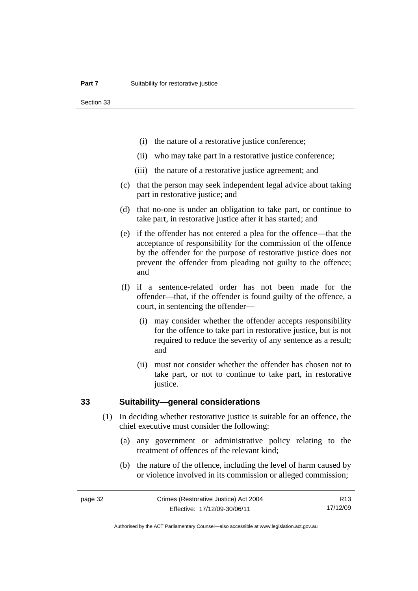Section 33

- (i) the nature of a restorative justice conference;
- (ii) who may take part in a restorative justice conference;
- (iii) the nature of a restorative justice agreement; and
- (c) that the person may seek independent legal advice about taking part in restorative justice; and
- (d) that no-one is under an obligation to take part, or continue to take part, in restorative justice after it has started; and
- (e) if the offender has not entered a plea for the offence—that the acceptance of responsibility for the commission of the offence by the offender for the purpose of restorative justice does not prevent the offender from pleading not guilty to the offence; and
- (f) if a sentence-related order has not been made for the offender—that, if the offender is found guilty of the offence, a court, in sentencing the offender—
	- (i) may consider whether the offender accepts responsibility for the offence to take part in restorative justice, but is not required to reduce the severity of any sentence as a result; and
	- (ii) must not consider whether the offender has chosen not to take part, or not to continue to take part, in restorative justice.

## **33 Suitability—general considerations**

- (1) In deciding whether restorative justice is suitable for an offence, the chief executive must consider the following:
	- (a) any government or administrative policy relating to the treatment of offences of the relevant kind;
	- (b) the nature of the offence, including the level of harm caused by or violence involved in its commission or alleged commission;

R13 17/12/09

Authorised by the ACT Parliamentary Counsel—also accessible at www.legislation.act.gov.au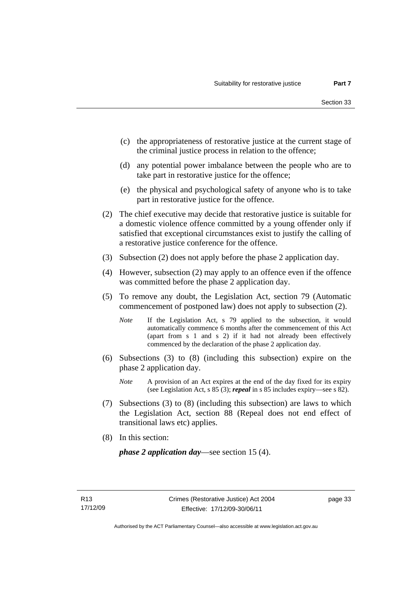- (c) the appropriateness of restorative justice at the current stage of the criminal justice process in relation to the offence;
- (d) any potential power imbalance between the people who are to take part in restorative justice for the offence;
- (e) the physical and psychological safety of anyone who is to take part in restorative justice for the offence.
- (2) The chief executive may decide that restorative justice is suitable for a domestic violence offence committed by a young offender only if satisfied that exceptional circumstances exist to justify the calling of a restorative justice conference for the offence.
- (3) Subsection (2) does not apply before the phase 2 application day.
- (4) However, subsection (2) may apply to an offence even if the offence was committed before the phase 2 application day.
- (5) To remove any doubt, the Legislation Act, section 79 (Automatic commencement of postponed law) does not apply to subsection (2).
	- *Note* If the Legislation Act, s 79 applied to the subsection, it would automatically commence 6 months after the commencement of this Act (apart from s 1 and s 2) if it had not already been effectively commenced by the declaration of the phase 2 application day.
- (6) Subsections (3) to (8) (including this subsection) expire on the phase 2 application day.
	- *Note* A provision of an Act expires at the end of the day fixed for its expiry (see Legislation Act, s 85 (3); *repeal* in s 85 includes expiry—see s 82).
- (7) Subsections (3) to (8) (including this subsection) are laws to which the Legislation Act, section 88 (Repeal does not end effect of transitional laws etc) applies.
- (8) In this section:

*phase 2 application day*—see section 15 (4).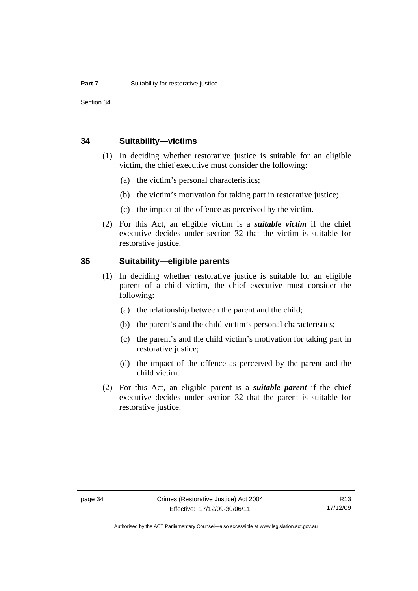Section 34

### **34 Suitability—victims**

- (1) In deciding whether restorative justice is suitable for an eligible victim, the chief executive must consider the following:
	- (a) the victim's personal characteristics;
	- (b) the victim's motivation for taking part in restorative justice;
	- (c) the impact of the offence as perceived by the victim.
- (2) For this Act, an eligible victim is a *suitable victim* if the chief executive decides under section 32 that the victim is suitable for restorative justice.

## **35 Suitability—eligible parents**

- (1) In deciding whether restorative justice is suitable for an eligible parent of a child victim, the chief executive must consider the following:
	- (a) the relationship between the parent and the child;
	- (b) the parent's and the child victim's personal characteristics;
	- (c) the parent's and the child victim's motivation for taking part in restorative justice;
	- (d) the impact of the offence as perceived by the parent and the child victim.
- (2) For this Act, an eligible parent is a *suitable parent* if the chief executive decides under section 32 that the parent is suitable for restorative justice.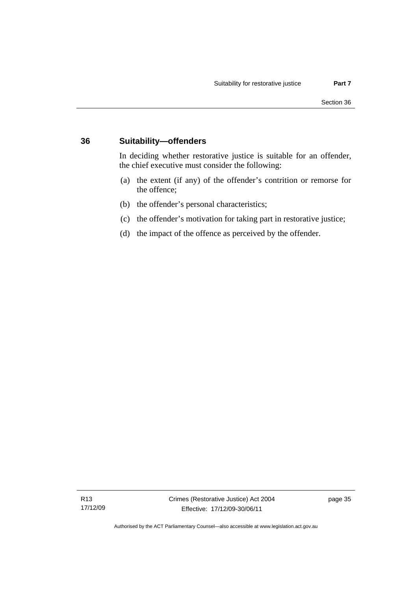## **36 Suitability—offenders**

In deciding whether restorative justice is suitable for an offender, the chief executive must consider the following:

- (a) the extent (if any) of the offender's contrition or remorse for the offence;
- (b) the offender's personal characteristics;
- (c) the offender's motivation for taking part in restorative justice;
- (d) the impact of the offence as perceived by the offender.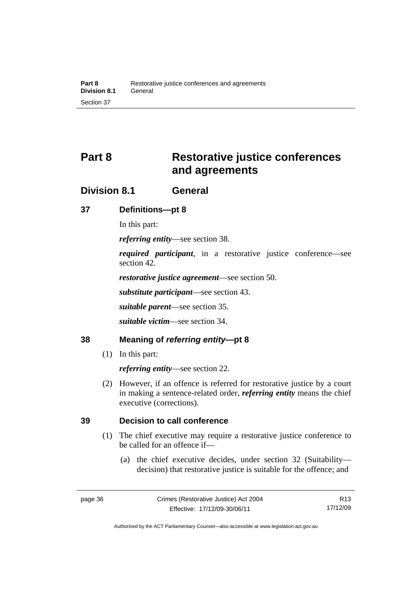# **Part 8 Restorative justice conferences and agreements**

## **Division 8.1 General**

## **37 Definitions—pt 8**

In this part:

*referring entity*—see section 38.

*required participant*, in a restorative justice conference—see section 42.

*restorative justice agreement*—see section 50.

*substitute participant*—see section 43.

*suitable parent*—see section 35.

*suitable victim*—see section 34.

## **38 Meaning of** *referring entity***—pt 8**

(1) In this part:

*referring entity*—see section 22.

 (2) However, if an offence is referred for restorative justice by a court in making a sentence-related order, *referring entity* means the chief executive (corrections).

## **39 Decision to call conference**

- (1) The chief executive may require a restorative justice conference to be called for an offence if—
	- (a) the chief executive decides, under section 32 (Suitability decision) that restorative justice is suitable for the offence; and

R13 17/12/09

Authorised by the ACT Parliamentary Counsel—also accessible at www.legislation.act.gov.au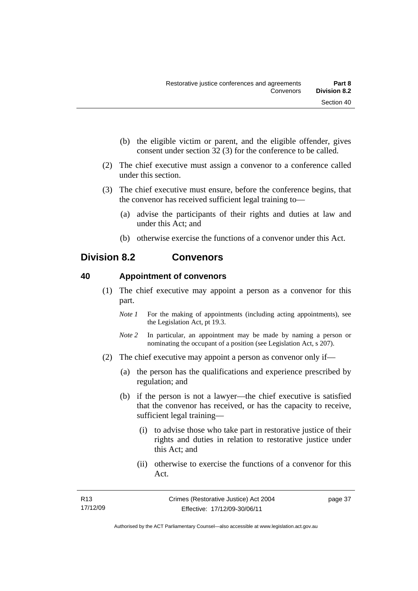- (b) the eligible victim or parent, and the eligible offender, gives consent under section 32 (3) for the conference to be called.
- (2) The chief executive must assign a convenor to a conference called under this section.
- (3) The chief executive must ensure, before the conference begins, that the convenor has received sufficient legal training to—
	- (a) advise the participants of their rights and duties at law and under this Act; and
	- (b) otherwise exercise the functions of a convenor under this Act.

## **Division 8.2 Convenors**

## **40 Appointment of convenors**

- (1) The chief executive may appoint a person as a convenor for this part.
	- *Note 1* For the making of appointments (including acting appointments), see the Legislation Act, pt 19.3.
	- *Note 2* In particular, an appointment may be made by naming a person or nominating the occupant of a position (see Legislation Act, s 207).
- (2) The chief executive may appoint a person as convenor only if—
	- (a) the person has the qualifications and experience prescribed by regulation; and
	- (b) if the person is not a lawyer—the chief executive is satisfied that the convenor has received, or has the capacity to receive, sufficient legal training—
		- (i) to advise those who take part in restorative justice of their rights and duties in relation to restorative justice under this Act; and
		- (ii) otherwise to exercise the functions of a convenor for this Act.

page 37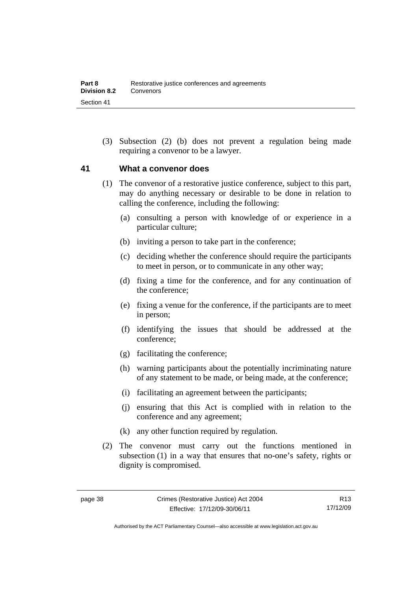(3) Subsection (2) (b) does not prevent a regulation being made requiring a convenor to be a lawyer.

## **41 What a convenor does**

- (1) The convenor of a restorative justice conference, subject to this part, may do anything necessary or desirable to be done in relation to calling the conference, including the following:
	- (a) consulting a person with knowledge of or experience in a particular culture;
	- (b) inviting a person to take part in the conference;
	- (c) deciding whether the conference should require the participants to meet in person, or to communicate in any other way;
	- (d) fixing a time for the conference, and for any continuation of the conference;
	- (e) fixing a venue for the conference, if the participants are to meet in person;
	- (f) identifying the issues that should be addressed at the conference;
	- (g) facilitating the conference;
	- (h) warning participants about the potentially incriminating nature of any statement to be made, or being made, at the conference;
	- (i) facilitating an agreement between the participants;
	- (j) ensuring that this Act is complied with in relation to the conference and any agreement;
	- (k) any other function required by regulation.
- (2) The convenor must carry out the functions mentioned in subsection (1) in a way that ensures that no-one's safety, rights or dignity is compromised.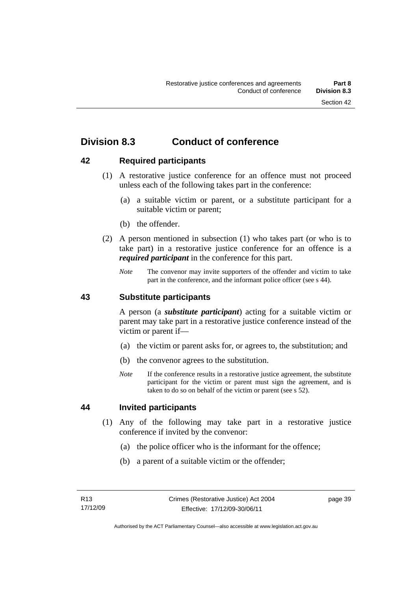## **Division 8.3 Conduct of conference**

## **42 Required participants**

- (1) A restorative justice conference for an offence must not proceed unless each of the following takes part in the conference:
	- (a) a suitable victim or parent, or a substitute participant for a suitable victim or parent;
	- (b) the offender.
- (2) A person mentioned in subsection (1) who takes part (or who is to take part) in a restorative justice conference for an offence is a *required participant* in the conference for this part.
	- *Note* The convenor may invite supporters of the offender and victim to take part in the conference, and the informant police officer (see s 44).

## **43 Substitute participants**

A person (a *substitute participant*) acting for a suitable victim or parent may take part in a restorative justice conference instead of the victim or parent if—

- (a) the victim or parent asks for, or agrees to, the substitution; and
- (b) the convenor agrees to the substitution.
- *Note* If the conference results in a restorative justice agreement, the substitute participant for the victim or parent must sign the agreement, and is taken to do so on behalf of the victim or parent (see s 52).

## **44 Invited participants**

- (1) Any of the following may take part in a restorative justice conference if invited by the convenor:
	- (a) the police officer who is the informant for the offence;
	- (b) a parent of a suitable victim or the offender;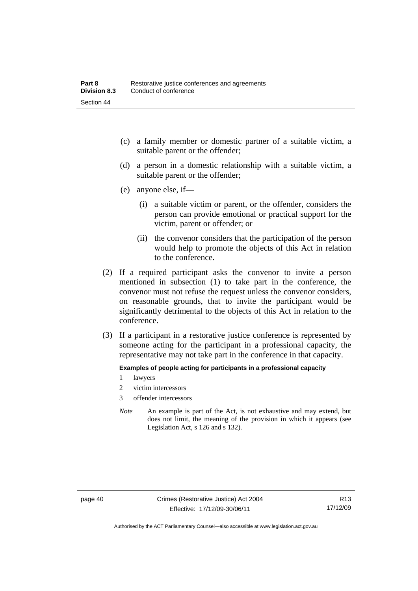- (c) a family member or domestic partner of a suitable victim, a suitable parent or the offender;
- (d) a person in a domestic relationship with a suitable victim, a suitable parent or the offender;
- (e) anyone else, if—
	- (i) a suitable victim or parent, or the offender, considers the person can provide emotional or practical support for the victim, parent or offender; or
	- (ii) the convenor considers that the participation of the person would help to promote the objects of this Act in relation to the conference.
- (2) If a required participant asks the convenor to invite a person mentioned in subsection (1) to take part in the conference, the convenor must not refuse the request unless the convenor considers, on reasonable grounds, that to invite the participant would be significantly detrimental to the objects of this Act in relation to the conference.
- (3) If a participant in a restorative justice conference is represented by someone acting for the participant in a professional capacity, the representative may not take part in the conference in that capacity.

#### **Examples of people acting for participants in a professional capacity**

- 1 lawyers
- 2 victim intercessors
- 3 offender intercessors
- *Note* An example is part of the Act, is not exhaustive and may extend, but does not limit, the meaning of the provision in which it appears (see Legislation Act, s 126 and s 132).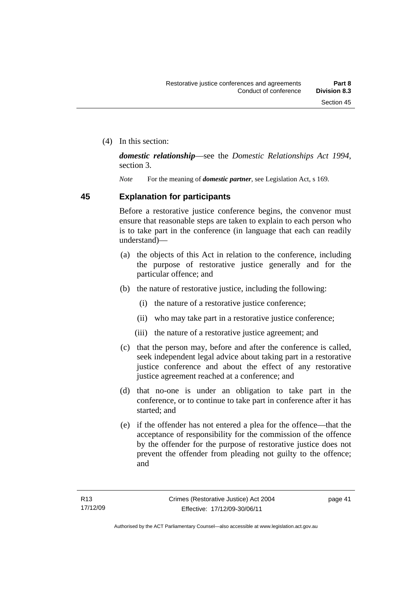(4) In this section:

*domestic relationship*—see the *Domestic Relationships Act 1994*, section 3.

*Note* For the meaning of *domestic partner*, see Legislation Act, s 169.

## **45 Explanation for participants**

Before a restorative justice conference begins, the convenor must ensure that reasonable steps are taken to explain to each person who is to take part in the conference (in language that each can readily understand)—

- (a) the objects of this Act in relation to the conference, including the purpose of restorative justice generally and for the particular offence; and
- (b) the nature of restorative justice, including the following:
	- (i) the nature of a restorative justice conference;
	- (ii) who may take part in a restorative justice conference;
	- (iii) the nature of a restorative justice agreement; and
- (c) that the person may, before and after the conference is called, seek independent legal advice about taking part in a restorative justice conference and about the effect of any restorative justice agreement reached at a conference; and
- (d) that no-one is under an obligation to take part in the conference, or to continue to take part in conference after it has started; and
- (e) if the offender has not entered a plea for the offence—that the acceptance of responsibility for the commission of the offence by the offender for the purpose of restorative justice does not prevent the offender from pleading not guilty to the offence; and

page 41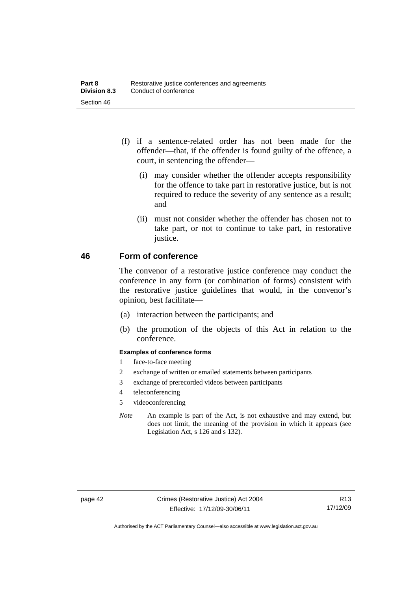- (f) if a sentence-related order has not been made for the offender—that, if the offender is found guilty of the offence, a court, in sentencing the offender—
	- (i) may consider whether the offender accepts responsibility for the offence to take part in restorative justice, but is not required to reduce the severity of any sentence as a result; and
	- (ii) must not consider whether the offender has chosen not to take part, or not to continue to take part, in restorative justice.

## **46 Form of conference**

The convenor of a restorative justice conference may conduct the conference in any form (or combination of forms) consistent with the restorative justice guidelines that would, in the convenor's opinion, best facilitate—

- (a) interaction between the participants; and
- (b) the promotion of the objects of this Act in relation to the conference.

#### **Examples of conference forms**

- 1 face-to-face meeting
- 2 exchange of written or emailed statements between participants
- 3 exchange of prerecorded videos between participants
- 4 teleconferencing
- 5 videoconferencing
- *Note* An example is part of the Act, is not exhaustive and may extend, but does not limit, the meaning of the provision in which it appears (see Legislation Act, s 126 and s 132).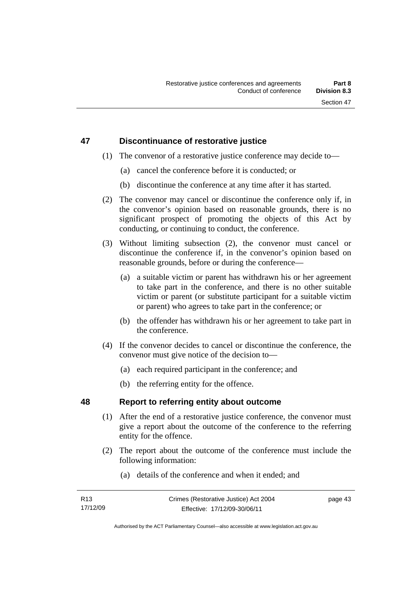## **47 Discontinuance of restorative justice**

- (1) The convenor of a restorative justice conference may decide to—
	- (a) cancel the conference before it is conducted; or
	- (b) discontinue the conference at any time after it has started.
- (2) The convenor may cancel or discontinue the conference only if, in the convenor's opinion based on reasonable grounds, there is no significant prospect of promoting the objects of this Act by conducting, or continuing to conduct, the conference.
- (3) Without limiting subsection (2), the convenor must cancel or discontinue the conference if, in the convenor's opinion based on reasonable grounds, before or during the conference—
	- (a) a suitable victim or parent has withdrawn his or her agreement to take part in the conference, and there is no other suitable victim or parent (or substitute participant for a suitable victim or parent) who agrees to take part in the conference; or
	- (b) the offender has withdrawn his or her agreement to take part in the conference.
- (4) If the convenor decides to cancel or discontinue the conference, the convenor must give notice of the decision to—
	- (a) each required participant in the conference; and
	- (b) the referring entity for the offence.

## **48 Report to referring entity about outcome**

- (1) After the end of a restorative justice conference, the convenor must give a report about the outcome of the conference to the referring entity for the offence.
- (2) The report about the outcome of the conference must include the following information:
	- (a) details of the conference and when it ended; and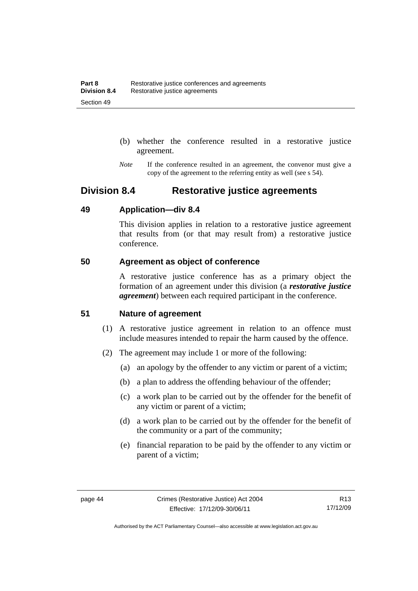- (b) whether the conference resulted in a restorative justice agreement.
- *Note* If the conference resulted in an agreement, the convenor must give a copy of the agreement to the referring entity as well (see s 54).

## **Division 8.4 Restorative justice agreements**

## **49 Application—div 8.4**

This division applies in relation to a restorative justice agreement that results from (or that may result from) a restorative justice conference.

## **50 Agreement as object of conference**

A restorative justice conference has as a primary object the formation of an agreement under this division (a *restorative justice agreement*) between each required participant in the conference.

## **51 Nature of agreement**

- (1) A restorative justice agreement in relation to an offence must include measures intended to repair the harm caused by the offence.
- (2) The agreement may include 1 or more of the following:
	- (a) an apology by the offender to any victim or parent of a victim;
	- (b) a plan to address the offending behaviour of the offender;
	- (c) a work plan to be carried out by the offender for the benefit of any victim or parent of a victim;
	- (d) a work plan to be carried out by the offender for the benefit of the community or a part of the community;
	- (e) financial reparation to be paid by the offender to any victim or parent of a victim;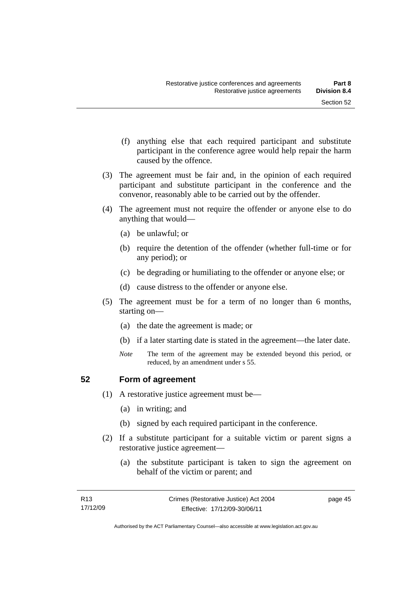- (f) anything else that each required participant and substitute participant in the conference agree would help repair the harm caused by the offence.
- (3) The agreement must be fair and, in the opinion of each required participant and substitute participant in the conference and the convenor, reasonably able to be carried out by the offender.
- (4) The agreement must not require the offender or anyone else to do anything that would—
	- (a) be unlawful; or
	- (b) require the detention of the offender (whether full-time or for any period); or
	- (c) be degrading or humiliating to the offender or anyone else; or
	- (d) cause distress to the offender or anyone else.
- (5) The agreement must be for a term of no longer than 6 months, starting on—
	- (a) the date the agreement is made; or
	- (b) if a later starting date is stated in the agreement—the later date.
	- *Note* The term of the agreement may be extended beyond this period, or reduced, by an amendment under s 55.

## **52 Form of agreement**

- (1) A restorative justice agreement must be—
	- (a) in writing; and
	- (b) signed by each required participant in the conference.
- (2) If a substitute participant for a suitable victim or parent signs a restorative justice agreement—
	- (a) the substitute participant is taken to sign the agreement on behalf of the victim or parent; and

page 45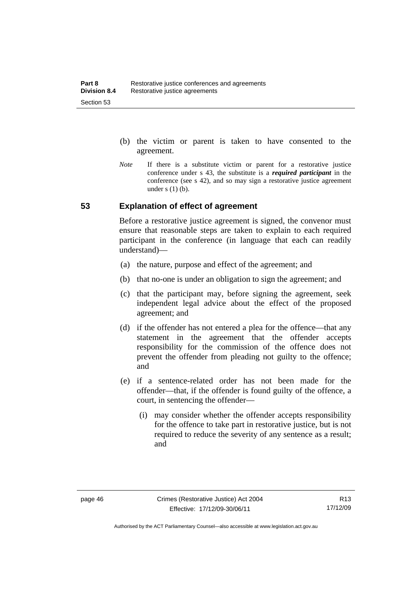- (b) the victim or parent is taken to have consented to the agreement.
- *Note* If there is a substitute victim or parent for a restorative justice conference under s 43, the substitute is a *required participant* in the conference (see s 42), and so may sign a restorative justice agreement under  $s(1)(b)$ .

## **53 Explanation of effect of agreement**

Before a restorative justice agreement is signed, the convenor must ensure that reasonable steps are taken to explain to each required participant in the conference (in language that each can readily understand)—

- (a) the nature, purpose and effect of the agreement; and
- (b) that no-one is under an obligation to sign the agreement; and
- (c) that the participant may, before signing the agreement, seek independent legal advice about the effect of the proposed agreement; and
- (d) if the offender has not entered a plea for the offence—that any statement in the agreement that the offender accepts responsibility for the commission of the offence does not prevent the offender from pleading not guilty to the offence; and
- (e) if a sentence-related order has not been made for the offender—that, if the offender is found guilty of the offence, a court, in sentencing the offender—
	- (i) may consider whether the offender accepts responsibility for the offence to take part in restorative justice, but is not required to reduce the severity of any sentence as a result: and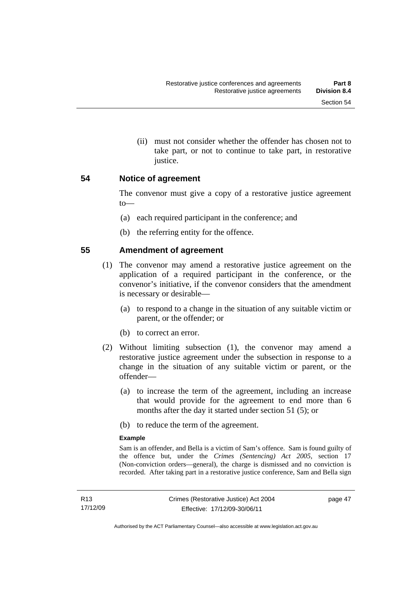(ii) must not consider whether the offender has chosen not to take part, or not to continue to take part, in restorative justice.

## **54 Notice of agreement**

The convenor must give a copy of a restorative justice agreement to—

- (a) each required participant in the conference; and
- (b) the referring entity for the offence.

## **55 Amendment of agreement**

- (1) The convenor may amend a restorative justice agreement on the application of a required participant in the conference, or the convenor's initiative, if the convenor considers that the amendment is necessary or desirable—
	- (a) to respond to a change in the situation of any suitable victim or parent, or the offender; or
	- (b) to correct an error.
- (2) Without limiting subsection (1), the convenor may amend a restorative justice agreement under the subsection in response to a change in the situation of any suitable victim or parent, or the offender—
	- (a) to increase the term of the agreement, including an increase that would provide for the agreement to end more than 6 months after the day it started under section 51 (5); or
	- (b) to reduce the term of the agreement.

#### **Example**

Sam is an offender, and Bella is a victim of Sam's offence. Sam is found guilty of the offence but, under the *Crimes (Sentencing) Act 2005*, section 17 (Non-conviction orders—general), the charge is dismissed and no conviction is recorded. After taking part in a restorative justice conference, Sam and Bella sign

page 47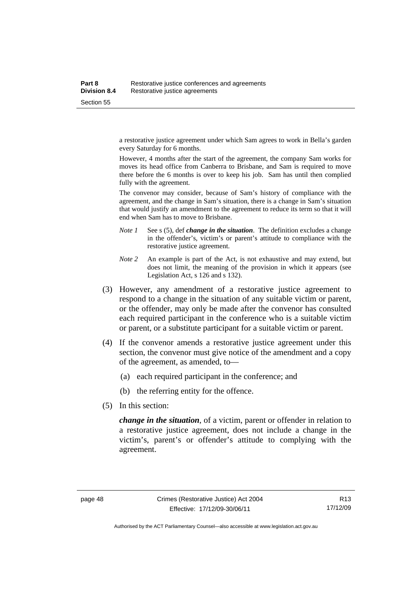a restorative justice agreement under which Sam agrees to work in Bella's garden every Saturday for 6 months.

However, 4 months after the start of the agreement, the company Sam works for moves its head office from Canberra to Brisbane, and Sam is required to move there before the 6 months is over to keep his job. Sam has until then complied fully with the agreement.

The convenor may consider, because of Sam's history of compliance with the agreement, and the change in Sam's situation, there is a change in Sam's situation that would justify an amendment to the agreement to reduce its term so that it will end when Sam has to move to Brisbane.

- *Note 1* See s (5), def *change in the situation*. The definition excludes a change in the offender's, victim's or parent's attitude to compliance with the restorative justice agreement.
- *Note 2* An example is part of the Act, is not exhaustive and may extend, but does not limit, the meaning of the provision in which it appears (see Legislation Act, s 126 and s 132).
- (3) However, any amendment of a restorative justice agreement to respond to a change in the situation of any suitable victim or parent, or the offender, may only be made after the convenor has consulted each required participant in the conference who is a suitable victim or parent, or a substitute participant for a suitable victim or parent.
- (4) If the convenor amends a restorative justice agreement under this section, the convenor must give notice of the amendment and a copy of the agreement, as amended, to—
	- (a) each required participant in the conference; and
	- (b) the referring entity for the offence.
- (5) In this section:

*change in the situation*, of a victim, parent or offender in relation to a restorative justice agreement, does not include a change in the victim's, parent's or offender's attitude to complying with the agreement.

Authorised by the ACT Parliamentary Counsel—also accessible at www.legislation.act.gov.au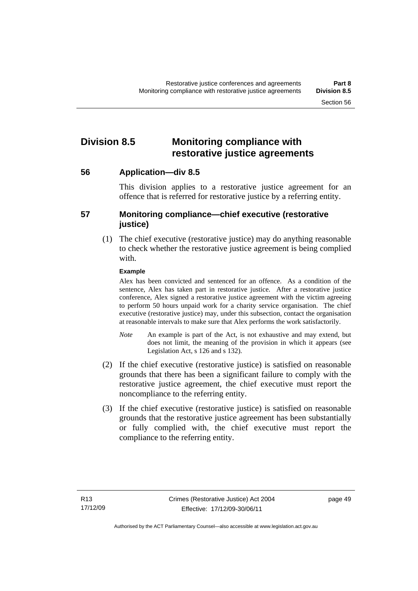## **Division 8.5 Monitoring compliance with restorative justice agreements**

**56 Application—div 8.5** 

This division applies to a restorative justice agreement for an offence that is referred for restorative justice by a referring entity.

## **57 Monitoring compliance—chief executive (restorative justice)**

(1) The chief executive (restorative justice) may do anything reasonable to check whether the restorative justice agreement is being complied with.

### **Example**

Alex has been convicted and sentenced for an offence. As a condition of the sentence, Alex has taken part in restorative justice. After a restorative justice conference, Alex signed a restorative justice agreement with the victim agreeing to perform 50 hours unpaid work for a charity service organisation. The chief executive (restorative justice) may, under this subsection, contact the organisation at reasonable intervals to make sure that Alex performs the work satisfactorily.

- *Note* An example is part of the Act, is not exhaustive and may extend, but does not limit, the meaning of the provision in which it appears (see Legislation Act, s 126 and s 132).
- (2) If the chief executive (restorative justice) is satisfied on reasonable grounds that there has been a significant failure to comply with the restorative justice agreement, the chief executive must report the noncompliance to the referring entity.
- (3) If the chief executive (restorative justice) is satisfied on reasonable grounds that the restorative justice agreement has been substantially or fully complied with, the chief executive must report the compliance to the referring entity.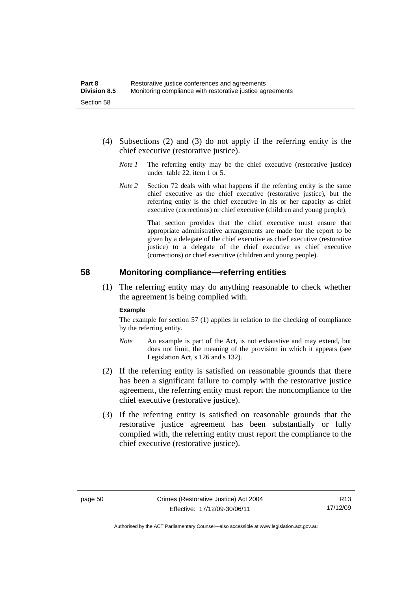- (4) Subsections (2) and (3) do not apply if the referring entity is the chief executive (restorative justice).
	- *Note 1* The referring entity may be the chief executive (restorative justice) under table 22, item 1 or 5.
	- *Note* 2 Section 72 deals with what happens if the referring entity is the same chief executive as the chief executive (restorative justice), but the referring entity is the chief executive in his or her capacity as chief executive (corrections) or chief executive (children and young people).

 That section provides that the chief executive must ensure that appropriate administrative arrangements are made for the report to be given by a delegate of the chief executive as chief executive (restorative justice) to a delegate of the chief executive as chief executive (corrections) or chief executive (children and young people).

### **58 Monitoring compliance—referring entities**

 (1) The referring entity may do anything reasonable to check whether the agreement is being complied with.

#### **Example**

The example for section 57 (1) applies in relation to the checking of compliance by the referring entity.

- *Note* An example is part of the Act, is not exhaustive and may extend, but does not limit, the meaning of the provision in which it appears (see Legislation Act, s 126 and s 132).
- (2) If the referring entity is satisfied on reasonable grounds that there has been a significant failure to comply with the restorative justice agreement, the referring entity must report the noncompliance to the chief executive (restorative justice).
- (3) If the referring entity is satisfied on reasonable grounds that the restorative justice agreement has been substantially or fully complied with, the referring entity must report the compliance to the chief executive (restorative justice).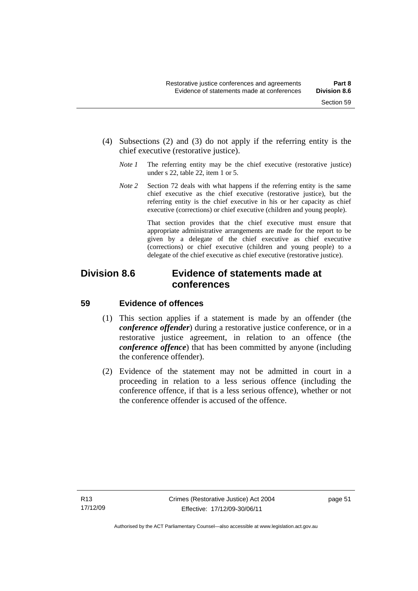- (4) Subsections (2) and (3) do not apply if the referring entity is the chief executive (restorative justice).
	- *Note 1* The referring entity may be the chief executive (restorative justice) under s 22, table 22, item 1 or 5.
	- *Note 2* Section 72 deals with what happens if the referring entity is the same chief executive as the chief executive (restorative justice), but the referring entity is the chief executive in his or her capacity as chief executive (corrections) or chief executive (children and young people).

 That section provides that the chief executive must ensure that appropriate administrative arrangements are made for the report to be given by a delegate of the chief executive as chief executive (corrections) or chief executive (children and young people) to a delegate of the chief executive as chief executive (restorative justice).

## **Division 8.6 Evidence of statements made at conferences**

## **59 Evidence of offences**

- (1) This section applies if a statement is made by an offender (the *conference offender*) during a restorative justice conference, or in a restorative justice agreement, in relation to an offence (the *conference offence*) that has been committed by anyone (including the conference offender).
- (2) Evidence of the statement may not be admitted in court in a proceeding in relation to a less serious offence (including the conference offence, if that is a less serious offence), whether or not the conference offender is accused of the offence.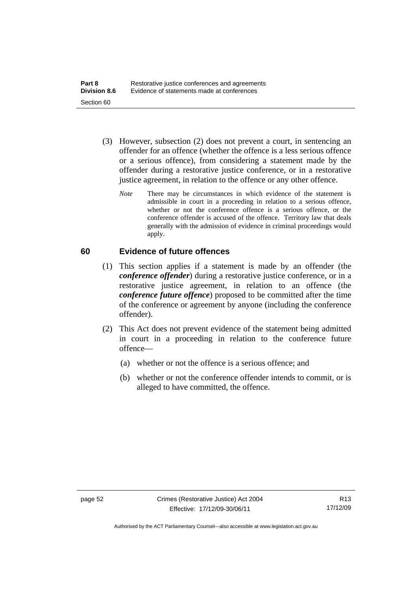- (3) However, subsection (2) does not prevent a court, in sentencing an offender for an offence (whether the offence is a less serious offence or a serious offence), from considering a statement made by the offender during a restorative justice conference, or in a restorative justice agreement, in relation to the offence or any other offence.
	- *Note* There may be circumstances in which evidence of the statement is admissible in court in a proceeding in relation to a serious offence, whether or not the conference offence is a serious offence, or the conference offender is accused of the offence. Territory law that deals generally with the admission of evidence in criminal proceedings would apply.

## **60 Evidence of future offences**

- (1) This section applies if a statement is made by an offender (the *conference offender*) during a restorative justice conference, or in a restorative justice agreement, in relation to an offence (the *conference future offence*) proposed to be committed after the time of the conference or agreement by anyone (including the conference offender).
- (2) This Act does not prevent evidence of the statement being admitted in court in a proceeding in relation to the conference future offence—
	- (a) whether or not the offence is a serious offence; and
	- (b) whether or not the conference offender intends to commit, or is alleged to have committed, the offence.

Authorised by the ACT Parliamentary Counsel—also accessible at www.legislation.act.gov.au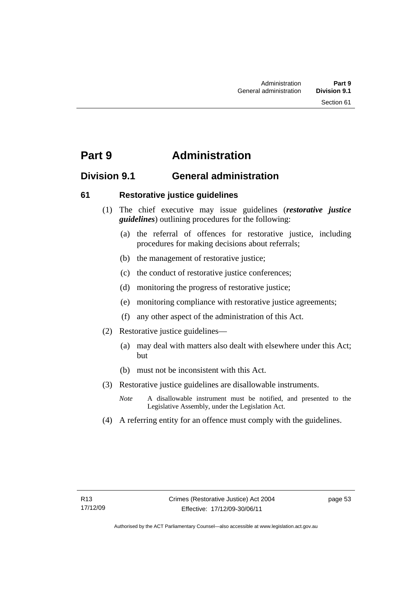## **Part 9 Administration**

## **Division 9.1 General administration**

## **61 Restorative justice guidelines**

- (1) The chief executive may issue guidelines (*restorative justice guidelines*) outlining procedures for the following:
	- (a) the referral of offences for restorative justice, including procedures for making decisions about referrals;
	- (b) the management of restorative justice;
	- (c) the conduct of restorative justice conferences;
	- (d) monitoring the progress of restorative justice;
	- (e) monitoring compliance with restorative justice agreements;
	- (f) any other aspect of the administration of this Act.
- (2) Restorative justice guidelines—
	- (a) may deal with matters also dealt with elsewhere under this Act; but
	- (b) must not be inconsistent with this Act.
- (3) Restorative justice guidelines are disallowable instruments.
	- *Note* A disallowable instrument must be notified, and presented to the Legislative Assembly, under the Legislation Act.
- (4) A referring entity for an offence must comply with the guidelines.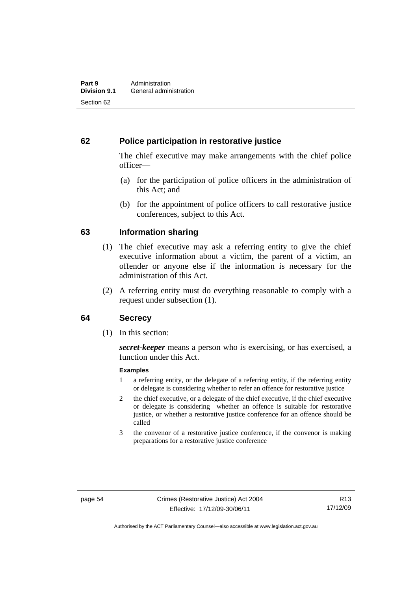## **62 Police participation in restorative justice**

The chief executive may make arrangements with the chief police officer—

- (a) for the participation of police officers in the administration of this Act; and
- (b) for the appointment of police officers to call restorative justice conferences, subject to this Act.

## **63 Information sharing**

- (1) The chief executive may ask a referring entity to give the chief executive information about a victim, the parent of a victim, an offender or anyone else if the information is necessary for the administration of this Act.
- (2) A referring entity must do everything reasonable to comply with a request under subsection (1).

### **64 Secrecy**

(1) In this section:

*secret-keeper* means a person who is exercising, or has exercised, a function under this Act.

#### **Examples**

- 1 a referring entity, or the delegate of a referring entity, if the referring entity or delegate is considering whether to refer an offence for restorative justice
- 2 the chief executive, or a delegate of the chief executive, if the chief executive or delegate is considering whether an offence is suitable for restorative justice, or whether a restorative justice conference for an offence should be called
- 3 the convenor of a restorative justice conference, if the convenor is making preparations for a restorative justice conference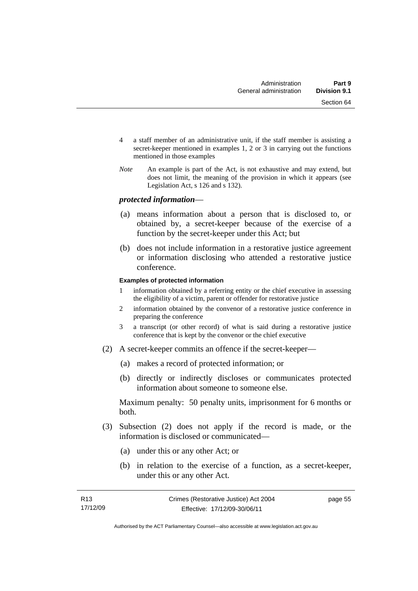- 4 a staff member of an administrative unit, if the staff member is assisting a secret-keeper mentioned in examples 1, 2 or 3 in carrying out the functions mentioned in those examples
- *Note* An example is part of the Act, is not exhaustive and may extend, but does not limit, the meaning of the provision in which it appears (see Legislation Act, s 126 and s 132).

### *protected information*—

- (a) means information about a person that is disclosed to, or obtained by, a secret-keeper because of the exercise of a function by the secret-keeper under this Act; but
- (b) does not include information in a restorative justice agreement or information disclosing who attended a restorative justice conference.

#### **Examples of protected information**

- 1 information obtained by a referring entity or the chief executive in assessing the eligibility of a victim, parent or offender for restorative justice
- 2 information obtained by the convenor of a restorative justice conference in preparing the conference
- 3 a transcript (or other record) of what is said during a restorative justice conference that is kept by the convenor or the chief executive
- (2) A secret-keeper commits an offence if the secret-keeper—
	- (a) makes a record of protected information; or
	- (b) directly or indirectly discloses or communicates protected information about someone to someone else.

Maximum penalty: 50 penalty units, imprisonment for 6 months or both.

- (3) Subsection (2) does not apply if the record is made, or the information is disclosed or communicated—
	- (a) under this or any other Act; or
	- (b) in relation to the exercise of a function, as a secret-keeper, under this or any other Act.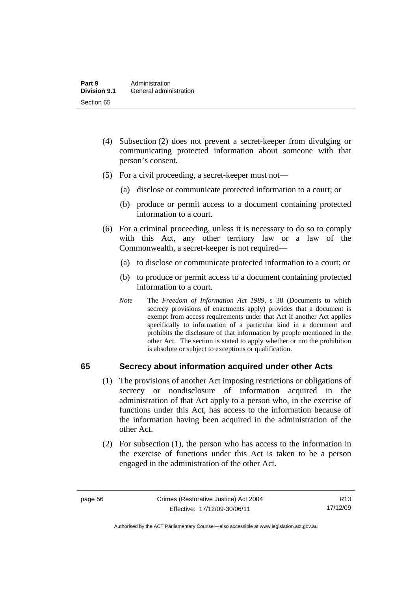- (4) Subsection (2) does not prevent a secret-keeper from divulging or communicating protected information about someone with that person's consent.
- (5) For a civil proceeding, a secret-keeper must not—
	- (a) disclose or communicate protected information to a court; or
	- (b) produce or permit access to a document containing protected information to a court.
- (6) For a criminal proceeding, unless it is necessary to do so to comply with this Act, any other territory law or a law of the Commonwealth, a secret-keeper is not required—
	- (a) to disclose or communicate protected information to a court; or
	- (b) to produce or permit access to a document containing protected information to a court.
	- *Note* The *Freedom of Information Act 1989*, s 38 (Documents to which secrecy provisions of enactments apply) provides that a document is exempt from access requirements under that Act if another Act applies specifically to information of a particular kind in a document and prohibits the disclosure of that information by people mentioned in the other Act. The section is stated to apply whether or not the prohibition is absolute or subject to exceptions or qualification.

## **65 Secrecy about information acquired under other Acts**

- (1) The provisions of another Act imposing restrictions or obligations of secrecy or nondisclosure of information acquired in the administration of that Act apply to a person who, in the exercise of functions under this Act, has access to the information because of the information having been acquired in the administration of the other Act.
- (2) For subsection (1), the person who has access to the information in the exercise of functions under this Act is taken to be a person engaged in the administration of the other Act.

R13 17/12/09

Authorised by the ACT Parliamentary Counsel—also accessible at www.legislation.act.gov.au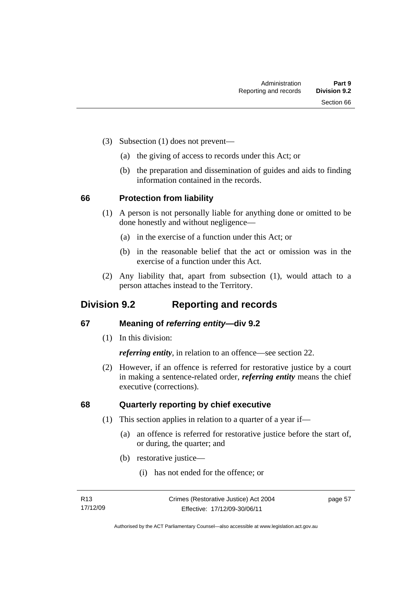- (3) Subsection (1) does not prevent—
	- (a) the giving of access to records under this Act; or
	- (b) the preparation and dissemination of guides and aids to finding information contained in the records.

### **66 Protection from liability**

- (1) A person is not personally liable for anything done or omitted to be done honestly and without negligence—
	- (a) in the exercise of a function under this Act; or
	- (b) in the reasonable belief that the act or omission was in the exercise of a function under this Act.
- (2) Any liability that, apart from subsection (1), would attach to a person attaches instead to the Territory.

## **Division 9.2 Reporting and records**

## **67 Meaning of** *referring entity—***div 9.2**

(1) In this division:

*referring entity*, in relation to an offence—see section 22.

 (2) However, if an offence is referred for restorative justice by a court in making a sentence-related order, *referring entity* means the chief executive (corrections).

## **68 Quarterly reporting by chief executive**

- (1) This section applies in relation to a quarter of a year if—
	- (a) an offence is referred for restorative justice before the start of, or during, the quarter; and
	- (b) restorative justice—
		- (i) has not ended for the offence; or

page 57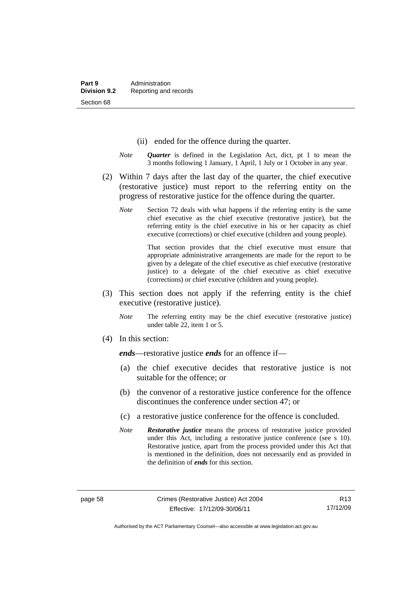- (ii) ended for the offence during the quarter.
- *Note Quarter* is defined in the Legislation Act, dict, pt 1 to mean the 3 months following 1 January, 1 April, 1 July or 1 October in any year.
- (2) Within 7 days after the last day of the quarter, the chief executive (restorative justice) must report to the referring entity on the progress of restorative justice for the offence during the quarter.
	- *Note* Section 72 deals with what happens if the referring entity is the same chief executive as the chief executive (restorative justice), but the referring entity is the chief executive in his or her capacity as chief executive (corrections) or chief executive (children and young people).

 That section provides that the chief executive must ensure that appropriate administrative arrangements are made for the report to be given by a delegate of the chief executive as chief executive (restorative justice) to a delegate of the chief executive as chief executive (corrections) or chief executive (children and young people).

- (3) This section does not apply if the referring entity is the chief executive (restorative justice).
	- *Note* The referring entity may be the chief executive (restorative justice) under table 22, item 1 or 5.
- (4) In this section:

*ends*—restorative justice *ends* for an offence if—

- (a) the chief executive decides that restorative justice is not suitable for the offence; or
- (b) the convenor of a restorative justice conference for the offence discontinues the conference under section 47; or
- (c) a restorative justice conference for the offence is concluded.
- *Note Restorative justice* means the process of restorative justice provided under this Act, including a restorative justice conference (see s 10). Restorative justice, apart from the process provided under this Act that is mentioned in the definition, does not necessarily end as provided in the definition of *ends* for this section.

Authorised by the ACT Parliamentary Counsel—also accessible at www.legislation.act.gov.au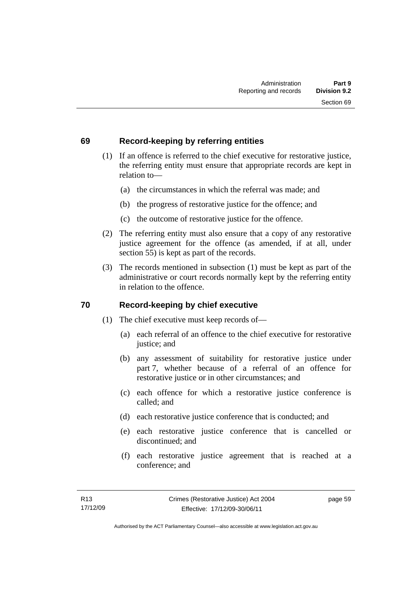## **69 Record-keeping by referring entities**

- (1) If an offence is referred to the chief executive for restorative justice, the referring entity must ensure that appropriate records are kept in relation to—
	- (a) the circumstances in which the referral was made; and
	- (b) the progress of restorative justice for the offence; and
	- (c) the outcome of restorative justice for the offence.
- (2) The referring entity must also ensure that a copy of any restorative justice agreement for the offence (as amended, if at all, under section 55) is kept as part of the records.
- (3) The records mentioned in subsection (1) must be kept as part of the administrative or court records normally kept by the referring entity in relation to the offence.

## **70 Record-keeping by chief executive**

- (1) The chief executive must keep records of—
	- (a) each referral of an offence to the chief executive for restorative justice; and
	- (b) any assessment of suitability for restorative justice under part 7, whether because of a referral of an offence for restorative justice or in other circumstances; and
	- (c) each offence for which a restorative justice conference is called; and
	- (d) each restorative justice conference that is conducted; and
	- (e) each restorative justice conference that is cancelled or discontinued; and
	- (f) each restorative justice agreement that is reached at a conference; and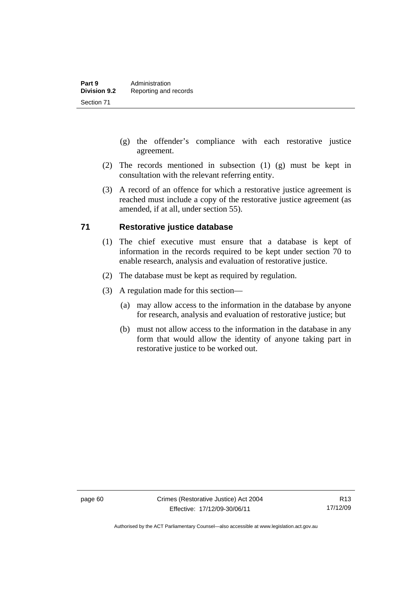- (g) the offender's compliance with each restorative justice agreement.
- (2) The records mentioned in subsection (1) (g) must be kept in consultation with the relevant referring entity.
- (3) A record of an offence for which a restorative justice agreement is reached must include a copy of the restorative justice agreement (as amended, if at all, under section 55).

## **71 Restorative justice database**

- (1) The chief executive must ensure that a database is kept of information in the records required to be kept under section 70 to enable research, analysis and evaluation of restorative justice.
- (2) The database must be kept as required by regulation.
- (3) A regulation made for this section—
	- (a) may allow access to the information in the database by anyone for research, analysis and evaluation of restorative justice; but
	- (b) must not allow access to the information in the database in any form that would allow the identity of anyone taking part in restorative justice to be worked out.

Authorised by the ACT Parliamentary Counsel—also accessible at www.legislation.act.gov.au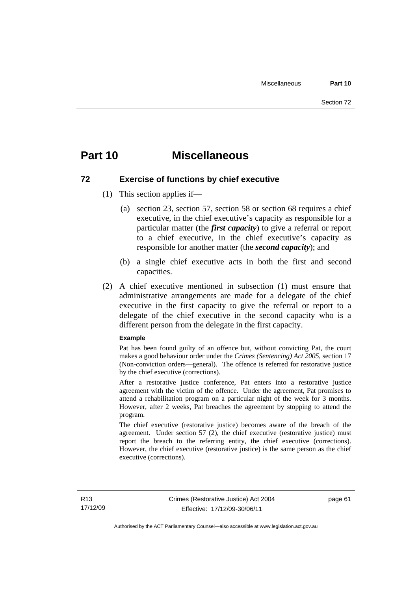## **Part 10 Miscellaneous**

## **72 Exercise of functions by chief executive**

- (1) This section applies if—
	- (a) section 23, section 57, section 58 or section 68 requires a chief executive, in the chief executive's capacity as responsible for a particular matter (the *first capacity*) to give a referral or report to a chief executive, in the chief executive's capacity as responsible for another matter (the *second capacity*); and
	- (b) a single chief executive acts in both the first and second capacities.
- (2) A chief executive mentioned in subsection (1) must ensure that administrative arrangements are made for a delegate of the chief executive in the first capacity to give the referral or report to a delegate of the chief executive in the second capacity who is a different person from the delegate in the first capacity.

#### **Example**

Pat has been found guilty of an offence but, without convicting Pat, the court makes a good behaviour order under the *Crimes (Sentencing) Act 2005*, section 17 (Non-conviction orders—general). The offence is referred for restorative justice by the chief executive (corrections).

After a restorative justice conference, Pat enters into a restorative justice agreement with the victim of the offence. Under the agreement, Pat promises to attend a rehabilitation program on a particular night of the week for 3 months. However, after 2 weeks, Pat breaches the agreement by stopping to attend the program.

The chief executive (restorative justice) becomes aware of the breach of the agreement. Under section 57 (2), the chief executive (restorative justice) must report the breach to the referring entity, the chief executive (corrections). However, the chief executive (restorative justice) is the same person as the chief executive (corrections).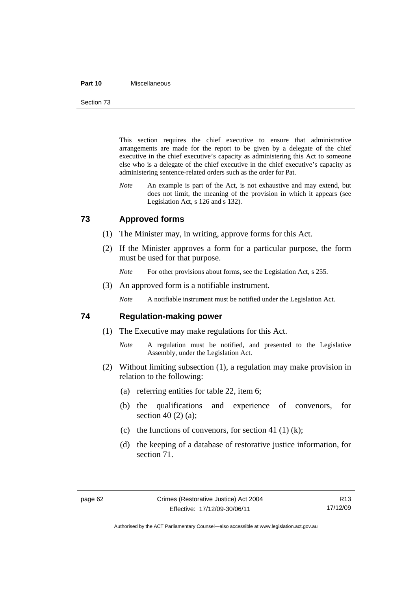#### **Part 10** Miscellaneous

Section 73

This section requires the chief executive to ensure that administrative arrangements are made for the report to be given by a delegate of the chief executive in the chief executive's capacity as administering this Act to someone else who is a delegate of the chief executive in the chief executive's capacity as administering sentence-related orders such as the order for Pat.

*Note* An example is part of the Act, is not exhaustive and may extend, but does not limit, the meaning of the provision in which it appears (see Legislation Act, s 126 and s 132).

## **73 Approved forms**

- (1) The Minister may, in writing, approve forms for this Act.
- (2) If the Minister approves a form for a particular purpose, the form must be used for that purpose.
	- *Note* For other provisions about forms, see the Legislation Act, s 255.
- (3) An approved form is a notifiable instrument.

*Note* A notifiable instrument must be notified under the Legislation Act.

### **74 Regulation-making power**

- (1) The Executive may make regulations for this Act.
	- *Note* A regulation must be notified, and presented to the Legislative Assembly, under the Legislation Act.
- (2) Without limiting subsection (1), a regulation may make provision in relation to the following:
	- (a) referring entities for table 22, item 6;
	- (b) the qualifications and experience of convenors, for section 40 (2) (a);
	- (c) the functions of convenors, for section 41 (1) (k);
	- (d) the keeping of a database of restorative justice information, for section 71.

R13 17/12/09

Authorised by the ACT Parliamentary Counsel—also accessible at www.legislation.act.gov.au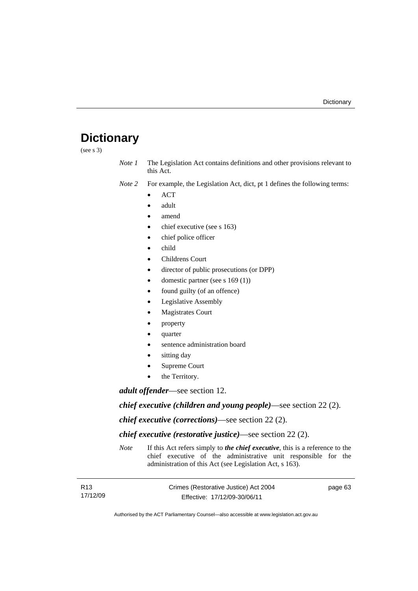# **Dictionary**

(see s 3)

*Note 1* The Legislation Act contains definitions and other provisions relevant to this Act.

*Note 2* For example, the Legislation Act, dict, pt 1 defines the following terms:

- $\bullet$  ACT
- adult
- amend
- chief executive (see s 163)
- chief police officer
- child
- Childrens Court
- director of public prosecutions (or DPP)
- domestic partner (see s 169 (1))
- found guilty (of an offence)
- Legislative Assembly
- Magistrates Court
- property
- quarter
- sentence administration board
- sitting day
- Supreme Court
- the Territory.

*adult offender*—see section 12.

*chief executive (children and young people)*—see section 22 (2).

*chief executive (corrections)*—see section 22 (2).

*chief executive (restorative justice)*—see section 22 (2).

*Note* If this Act refers simply to *the chief executive*, this is a reference to the chief executive of the administrative unit responsible for the administration of this Act (see Legislation Act, s 163).

| R <sub>13</sub> | Crimes (Restorative Justice) Act 2004 | page 63 |
|-----------------|---------------------------------------|---------|
| 17/12/09        | Effective: 17/12/09-30/06/11          |         |

Authorised by the ACT Parliamentary Counsel—also accessible at www.legislation.act.gov.au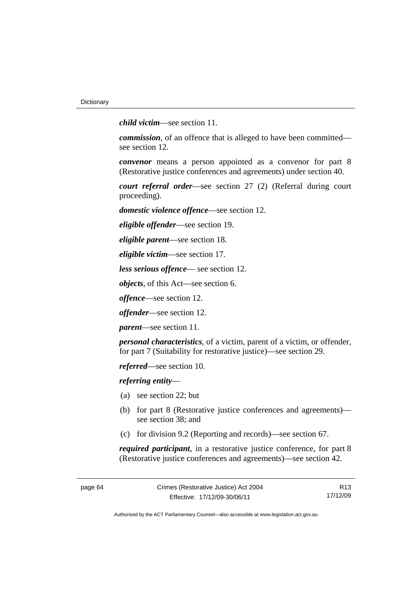*child victim*—see section 11.

*commission*, of an offence that is alleged to have been committed see section 12.

*convenor* means a person appointed as a convenor for part 8 (Restorative justice conferences and agreements) under section 40.

*court referral order*—see section 27 (2) (Referral during court proceeding).

*domestic violence offence*—see section 12.

*eligible offender*—see section 19.

*eligible parent*—see section 18.

*eligible victim*—see section 17.

*less serious offence*— see section 12.

*objects*, of this Act—see section 6.

*offence*—see section 12.

*offender*—see section 12.

*parent*—see section 11.

*personal characteristics*, of a victim, parent of a victim, or offender, for part 7 (Suitability for restorative justice)—see section 29.

*referred*—see section 10.

*referring entity*—

- (a) see section 22; but
- (b) for part 8 (Restorative justice conferences and agreements) see section 38; and
- (c) for division 9.2 (Reporting and records)—see section 67.

*required participant*, in a restorative justice conference, for part 8 (Restorative justice conferences and agreements)—see section 42.

R13 17/12/09

Authorised by the ACT Parliamentary Counsel—also accessible at www.legislation.act.gov.au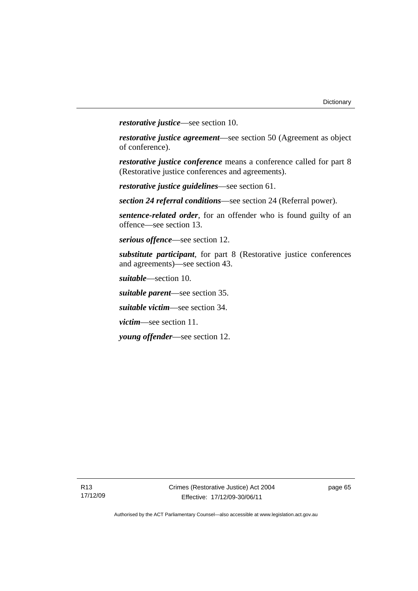*restorative justice*—see section 10.

*restorative justice agreement*—see section 50 (Agreement as object of conference).

*restorative justice conference* means a conference called for part 8 (Restorative justice conferences and agreements).

*restorative justice guidelines*—see section 61.

*section 24 referral conditions*—see section 24 (Referral power).

*sentence-related order*, for an offender who is found guilty of an offence—see section 13.

*serious offence*—see section 12.

*substitute participant*, for part 8 (Restorative justice conferences and agreements)—see section 43.

*suitable*—section 10.

*suitable parent*—see section 35.

*suitable victim*—see section 34.

*victim*—see section 11.

*young offender*—see section 12.

page 65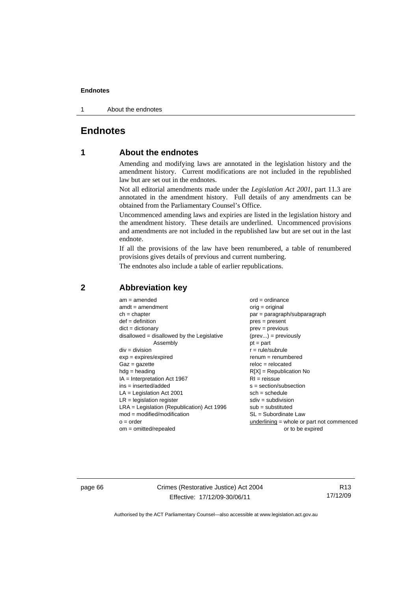1 About the endnotes

# **Endnotes**

# **1 About the endnotes**

Amending and modifying laws are annotated in the legislation history and the amendment history. Current modifications are not included in the republished law but are set out in the endnotes.

Not all editorial amendments made under the *Legislation Act 2001*, part 11.3 are annotated in the amendment history. Full details of any amendments can be obtained from the Parliamentary Counsel's Office.

Uncommenced amending laws and expiries are listed in the legislation history and the amendment history. These details are underlined. Uncommenced provisions and amendments are not included in the republished law but are set out in the last endnote.

If all the provisions of the law have been renumbered, a table of renumbered provisions gives details of previous and current numbering.

The endnotes also include a table of earlier republications.

| $am = amended$                               | $ord = ordinance$                         |  |  |
|----------------------------------------------|-------------------------------------------|--|--|
| $amdt = amendment$                           | orig = original                           |  |  |
| $ch = chapter$                               | $par = paragraph/subparagraph$            |  |  |
| $def = definition$                           | $pres = present$                          |  |  |
| $dict = dictionary$                          | $prev = previous$                         |  |  |
| disallowed = disallowed by the Legislative   | $(\text{prev}) = \text{previously}$       |  |  |
| Assembly                                     | $pt = part$                               |  |  |
| $div = division$                             | $r = rule/subrule$                        |  |  |
| $exp = expires/expired$                      | $remum = renumbered$                      |  |  |
| $Gaz = gazette$                              | $reloc = relocated$                       |  |  |
| $hdg =$ heading                              | $R[X]$ = Republication No                 |  |  |
| $IA = Interpretation Act 1967$               | $RI = reissue$                            |  |  |
| $ins = inserted/added$                       | $s = section/subsection$                  |  |  |
| $LA =$ Legislation Act 2001                  | $sch = schedule$                          |  |  |
| $LR =$ legislation register                  | $sdiv = subdivision$                      |  |  |
| $LRA =$ Legislation (Republication) Act 1996 | $sub =$ substituted                       |  |  |
| $mod = modified/modification$                | SL = Subordinate Law                      |  |  |
| $o = order$                                  | underlining = whole or part not commenced |  |  |
| $om = omitted/repealed$                      | or to be expired                          |  |  |
|                                              |                                           |  |  |

# **2 Abbreviation key**

page 66 Crimes (Restorative Justice) Act 2004 Effective: 17/12/09-30/06/11

R13 17/12/09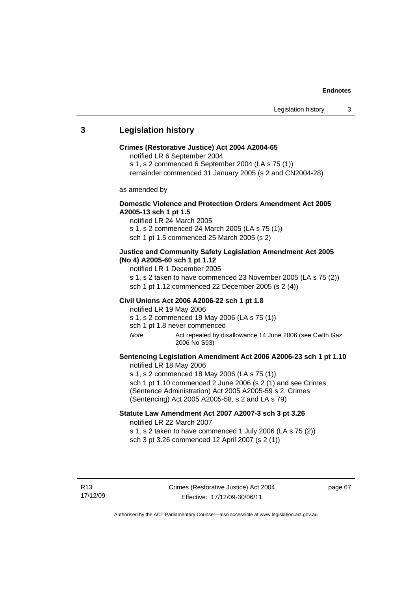# **3 Legislation history**

### **Crimes (Restorative Justice) Act 2004 A2004-65**

notified LR 6 September 2004

s 1, s 2 commenced 6 September 2004 (LA s 75 (1))

remainder commenced 31 January 2005 (s 2 and CN2004-28)

as amended by

## **Domestic Violence and Protection Orders Amendment Act 2005 A2005-13 sch 1 pt 1.5**

notified LR 24 March 2005 s 1, s 2 commenced 24 March 2005 (LA s 75 (1)) sch 1 pt 1.5 commenced 25 March 2005 (s 2)

## **Justice and Community Safety Legislation Amendment Act 2005 (No 4) A2005-60 sch 1 pt 1.12**

notified LR 1 December 2005

s 1, s 2 taken to have commenced 23 November 2005 (LA s 75 (2)) sch 1 pt 1.12 commenced 22 December 2005 (s 2 (4))

### **Civil Unions Act 2006 A2006-22 sch 1 pt 1.8**

notified LR 19 May 2006 s 1, s 2 commenced 19 May 2006 (LA s 75 (1)) sch 1 pt 1.8 never commenced

*Note* Act repealed by disallowance 14 June 2006 (see Cwlth Gaz 2006 No S93)

## **Sentencing Legislation Amendment Act 2006 A2006-23 sch 1 pt 1.10**  notified LR 18 May 2006

s 1, s 2 commenced 18 May 2006 (LA s 75 (1)) sch 1 pt 1.10 commenced 2 June 2006 (s 2 (1) and see Crimes (Sentence Administration) Act 2005 A2005-59 s 2, Crimes (Sentencing) Act 2005 A2005-58, s 2 and LA s 79)

## **Statute Law Amendment Act 2007 A2007-3 sch 3 pt 3.26**  notified LR 22 March 2007

s 1, s 2 taken to have commenced 1 July 2006 (LA s 75 (2)) sch 3 pt 3.26 commenced 12 April 2007 (s 2 (1))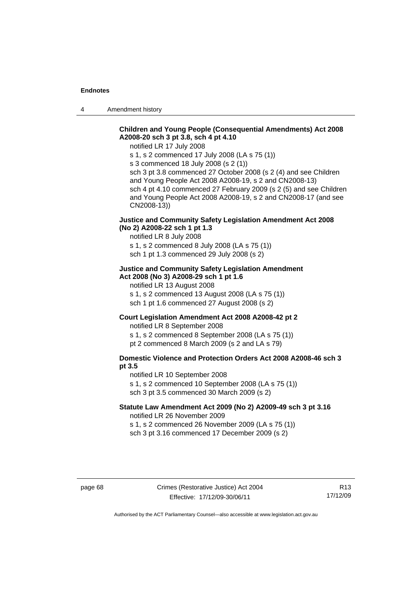4 Amendment history

# **Children and Young People (Consequential Amendments) Act 2008 A2008-20 sch 3 pt 3.8, sch 4 pt 4.10**

notified LR 17 July 2008

s 1, s 2 commenced 17 July 2008 (LA s 75 (1))

s 3 commenced 18 July 2008 (s 2 (1))

sch 3 pt 3.8 commenced 27 October 2008 (s 2 (4) and see Children and Young People Act 2008 A2008-19, s 2 and CN2008-13) sch 4 pt 4.10 commenced 27 February 2009 (s 2 (5) and see Children and Young People Act 2008 A2008-19, s 2 and CN2008-17 (and see CN2008-13))

## **Justice and Community Safety Legislation Amendment Act 2008 (No 2) A2008-22 sch 1 pt 1.3**

notified LR 8 July 2008

s 1, s 2 commenced 8 July 2008 (LA s 75 (1)) sch 1 pt 1.3 commenced 29 July 2008 (s 2)

## **Justice and Community Safety Legislation Amendment Act 2008 (No 3) A2008-29 sch 1 pt 1.6**

notified LR 13 August 2008

s 1, s 2 commenced 13 August 2008 (LA s 75 (1)) sch 1 pt 1.6 commenced 27 August 2008 (s 2)

## **Court Legislation Amendment Act 2008 A2008-42 pt 2**

notified LR 8 September 2008

s 1, s 2 commenced 8 September 2008 (LA s 75 (1))

pt 2 commenced 8 March 2009 (s 2 and LA s 79)

## **Domestic Violence and Protection Orders Act 2008 A2008-46 sch 3 pt 3.5**

notified LR 10 September 2008 s 1, s 2 commenced 10 September 2008 (LA s 75 (1)) sch 3 pt 3.5 commenced 30 March 2009 (s 2)

## **Statute Law Amendment Act 2009 (No 2) A2009-49 sch 3 pt 3.16**  notified LR 26 November 2009

s 1, s 2 commenced 26 November 2009 (LA s 75 (1)) sch 3 pt 3.16 commenced 17 December 2009 (s 2)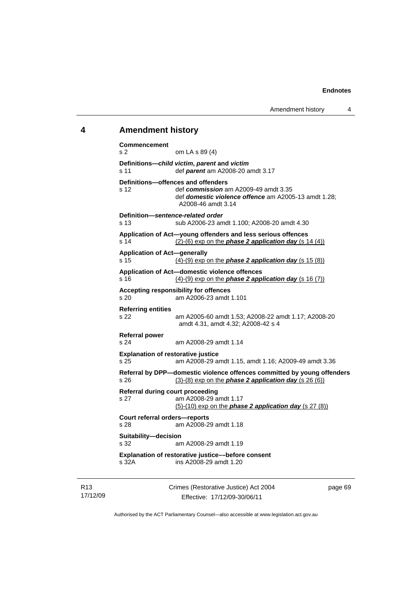### **4 Amendment history**

**Commencement**  s 2 om LA s 89 (4) **Definitions—***child victim***,** *parent* **and** *victim* s 11 def *parent* am A2008-20 amdt 3.17 **Definitions—offences and offenders**  s 12 def *commission* am A2009-49 amdt 3.35 def *domestic violence offence* am A2005-13 amdt 1.28; A2008-46 amdt 3.14 **Definition—***sentence-related order*  s 13 sub A2006-23 amdt 1.100; A2008-20 amdt 4.30 **Application of Act—young offenders and less serious offences**  s 14  $(2)-(6)$  exp on the **phase 2 application day** (s 14 (4)) **Application of Act—generally**  s 15 (4)-(9) exp on the *phase 2 application day* (s 15 (8)) **Application of Act—domestic violence offences**  s 16 (4)-(9) exp on the *phase 2 application day* (s 16 (7)) **Accepting responsibility for offences**  s 20 am A2006-23 amdt 1.101 **Referring entities**  s 22 am A2005-60 amdt 1.53; A2008-22 amdt 1.17; A2008-20 amdt 4.31, amdt 4.32; A2008-42 s 4 **Referral power**  s 24 am A2008-29 amdt 1.14 **Explanation of restorative justice**  s 25 am A2008-29 amdt 1.15, amdt 1.16; A2009-49 amdt 3.36 **Referral by DPP—domestic violence offences committed by young offenders**  s 26 (3)-(8) exp on the *phase 2 application day* (s 26 (6)) **Referral during court proceeding**  s 27 am A2008-29 amdt 1.17 (5)-(10) exp on the *phase 2 application day* (s 27 (8)) **Court referral orders—reports**  s 28 am A2008-29 amdt 1.18 **Suitability—decision**  s 32 am A2008-29 amdt 1.19 **Explanation of restorative justice––before consent**  s 32A ins A2008-29 amdt 1.20

R13 17/12/09 Crimes (Restorative Justice) Act 2004 Effective: 17/12/09-30/06/11

page 69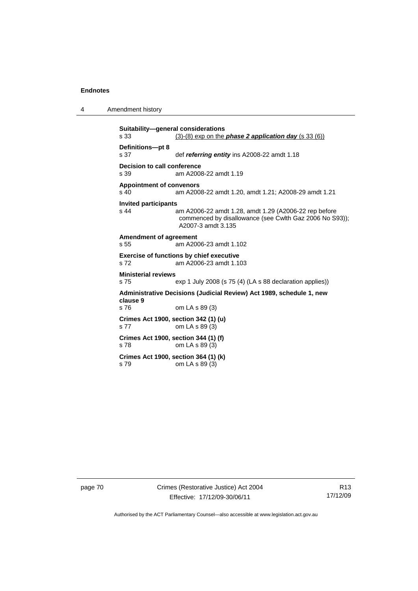4 Amendment history

```
Suitability—general considerations 
s 33 (3)-(8) exp on the phase 2 application day (s 33 (6))
Definitions—pt 8 
s 37 def referring entity ins A2008-22 amdt 1.18 
Decision to call conference 
                am A2008-22 amdt 1.19
Appointment of convenors 
s 40 am A2008-22 amdt 1.20, amdt 1.21; A2008-29 amdt 1.21 
Invited participants 
                am A2006-22 amdt 1.28, amdt 1.29 (A2006-22 rep before
                 commenced by disallowance (see Cwlth Gaz 2006 No S93)); 
                 A2007-3 amdt 3.135 
Amendment of agreement 
s 55 am A2006-23 amdt 1.102 
Exercise of functions by chief executive 
s 72 am A2006-23 amdt 1.103 
Ministerial reviews 
s 75 exp 1 July 2008 (s 75 (4) (LA s 88 declaration applies)) 
Administrative Decisions (Judicial Review) Act 1989, schedule 1, new 
clause 9 
s 76 om LA s 89 (3) 
Crimes Act 1900, section 342 (1) (u) 
s 77 om LA s 89 (3) 
Crimes Act 1900, section 344 (1) (f) 
s 78 om LA s 89 (3) 
Crimes Act 1900, section 364 (1) (k) 
s 79 om LA s 89 (3)
```
page 70 Crimes (Restorative Justice) Act 2004 Effective: 17/12/09-30/06/11

R13 17/12/09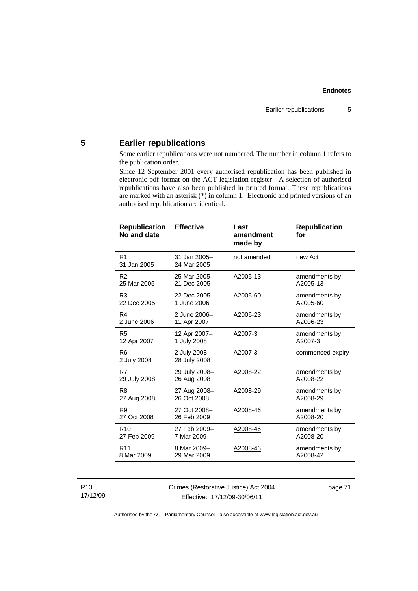# **5 Earlier republications**

Some earlier republications were not numbered. The number in column 1 refers to the publication order.

Since 12 September 2001 every authorised republication has been published in electronic pdf format on the ACT legislation register. A selection of authorised republications have also been published in printed format. These republications are marked with an asterisk (\*) in column 1. Electronic and printed versions of an authorised republication are identical.

| <b>Republication</b><br>No and date | <b>Effective</b>             | Last<br>amendment<br>made by | <b>Republication</b><br>for |
|-------------------------------------|------------------------------|------------------------------|-----------------------------|
| R <sub>1</sub><br>31 Jan 2005       | 31 Jan 2005-<br>24 Mar 2005  | not amended                  | new Act                     |
| R <sub>2</sub>                      | 25 Mar 2005-                 | A2005-13                     | amendments by               |
| 25 Mar 2005                         | 21 Dec 2005                  |                              | A2005-13                    |
| R <sub>3</sub>                      | 22 Dec 2005-                 | A2005-60                     | amendments by               |
| 22 Dec 2005                         | 1 June 2006                  |                              | A2005-60                    |
| R <sub>4</sub>                      | 2 June 2006-                 | A2006-23                     | amendments by               |
| 2 June 2006                         | 11 Apr 2007                  |                              | A2006-23                    |
| R <sub>5</sub>                      | 12 Apr 2007-                 | A2007-3                      | amendments by               |
| 12 Apr 2007                         | 1 July 2008                  |                              | A2007-3                     |
| R <sub>6</sub><br>2 July 2008       | 2 July 2008-<br>28 July 2008 | A2007-3                      | commenced expiry            |
| R7                                  | 29 July 2008-                | A2008-22                     | amendments by               |
| 29 July 2008                        | 26 Aug 2008                  |                              | A2008-22                    |
| R <sub>8</sub>                      | 27 Aug 2008-                 | A2008-29                     | amendments by               |
| 27 Aug 2008                         | 26 Oct 2008                  |                              | A2008-29                    |
| R <sub>9</sub>                      | 27 Oct 2008-                 | A2008-46                     | amendments by               |
| 27 Oct 2008                         | 26 Feb 2009                  |                              | A2008-20                    |
| R <sub>10</sub>                     | 27 Feb 2009-                 | A2008-46                     | amendments by               |
| 27 Feb 2009                         | 7 Mar 2009                   |                              | A2008-20                    |
| R <sub>11</sub>                     | 8 Mar 2009-                  | A2008-46                     | amendments by               |
| 8 Mar 2009                          | 29 Mar 2009                  |                              | A2008-42                    |

## R13 17/12/09

Crimes (Restorative Justice) Act 2004 Effective: 17/12/09-30/06/11

page 71